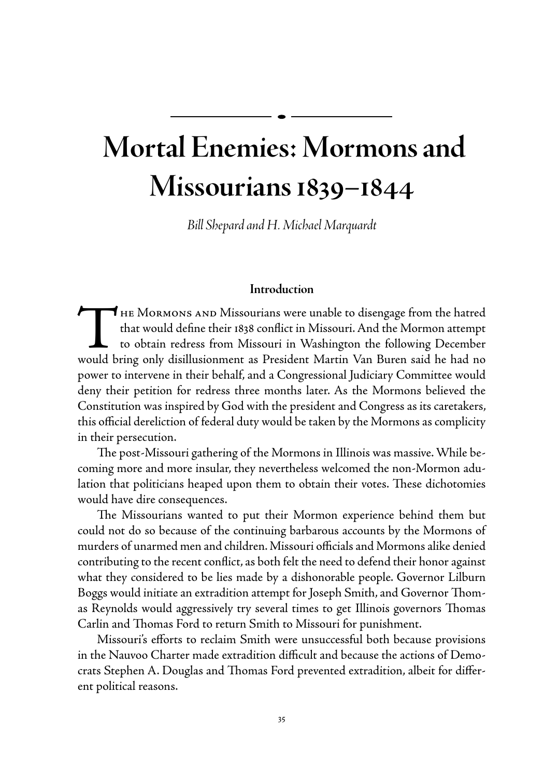## **Mortal Enemies: Mormons and Missourians 1839–1844**

*Bill Shepard and H. Michael Marquardt*

## **Introduction**

THE MORMONS AND Missourians were unable to disengage from the hatred<br>that would define their 1838 conflict in Missouri. And the Mormon attempt<br>to obtain redress from Missouri in Washington the following December<br>would brin that would define their 1838 conflict in Missouri. And the Mormon attempt to obtain redress from Missouri in Washington the following December would bring only disillusionment as President Martin Van Buren said he had no power to intervene in their behalf, and a Congressional Judiciary Committee would deny their petition for redress three months later. As the Mormons believed the Constitution was inspired by God with the president and Congress as its caretakers, this official dereliction of federal duty would be taken by the Mormons as complicity in their persecution.

The post-Missouri gathering of the Mormons in Illinois was massive. While becoming more and more insular, they nevertheless welcomed the non-Mormon adulation that politicians heaped upon them to obtain their votes. These dichotomies would have dire consequences.

The Missourians wanted to put their Mormon experience behind them but could not do so because of the continuing barbarous accounts by the Mormons of murders of unarmed men and children. Missouri officials and Mormons alike denied contributing to the recent conflict, as both felt the need to defend their honor against what they considered to be lies made by a dishonorable people. Governor Lilburn Boggs would initiate an extradition attempt for Joseph Smith, and Governor Thomas Reynolds would aggressively try several times to get Illinois governors Thomas Carlin and Thomas Ford to return Smith to Missouri for punishment.

Missouri's efforts to reclaim Smith were unsuccessful both because provisions in the Nauvoo Charter made extradition difficult and because the actions of Democrats Stephen A. Douglas and Thomas Ford prevented extradition, albeit for different political reasons.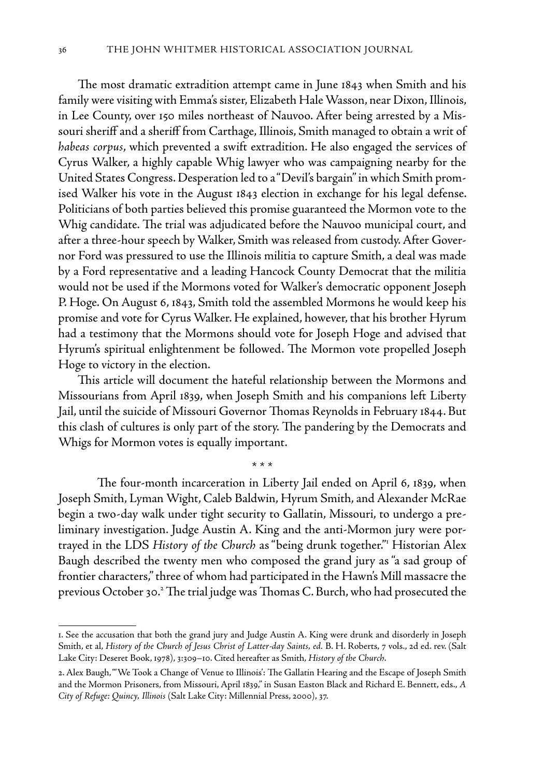The most dramatic extradition attempt came in June 1843 when Smith and his family were visiting with Emma's sister, Elizabeth Hale Wasson, near Dixon, Illinois, in Lee County, over 150 miles northeast of Nauvoo. After being arrested by a Missouri sheriff and a sheriff from Carthage, Illinois, Smith managed to obtain a writ of *habeas corpus*, which prevented a swift extradition. He also engaged the services of Cyrus Walker, a highly capable Whig lawyer who was campaigning nearby for the United States Congress. Desperation led to a "Devil's bargain" in which Smith promised Walker his vote in the August 1843 election in exchange for his legal defense. Politicians of both parties believed this promise guaranteed the Mormon vote to the Whig candidate. The trial was adjudicated before the Nauvoo municipal court, and after a three-hour speech by Walker, Smith was released from custody. After Governor Ford was pressured to use the Illinois militia to capture Smith, a deal was made by a Ford representative and a leading Hancock County Democrat that the militia would not be used if the Mormons voted for Walker's democratic opponent Joseph P. Hoge. On August 6, 1843, Smith told the assembled Mormons he would keep his promise and vote for Cyrus Walker. He explained, however, that his brother Hyrum had a testimony that the Mormons should vote for Joseph Hoge and advised that Hyrum's spiritual enlightenment be followed. The Mormon vote propelled Joseph Hoge to victory in the election.

This article will document the hateful relationship between the Mormons and Missourians from April 1839, when Joseph Smith and his companions left Liberty Jail, until the suicide of Missouri Governor Thomas Reynolds in February 1844. But this clash of cultures is only part of the story. The pandering by the Democrats and Whigs for Mormon votes is equally important.

\* \* \*

The four-month incarceration in Liberty Jail ended on April 6, 1839, when Joseph Smith, Lyman Wight, Caleb Baldwin, Hyrum Smith, and Alexander McRae begin a two-day walk under tight security to Gallatin, Missouri, to undergo a preliminary investigation. Judge Austin A. King and the anti-Mormon jury were portrayed in the LDS *History of the Church* as "being drunk together."1 Historian Alex Baugh described the twenty men who composed the grand jury as "a sad group of frontier characters," three of whom had participated in the Hawn's Mill massacre the previous October 30.<sup>2</sup> The trial judge was Thomas C. Burch, who had prosecuted the

<sup>1.</sup> See the accusation that both the grand jury and Judge Austin A. King were drunk and disorderly in Joseph Smith, et al, *History of the Church of Jesus Christ of Latter-day Saints, ed.* B. H. Roberts, 7 vols., 2d ed. rev. (Salt Lake City: Deseret Book, 1978), 3:309–10. Cited hereafter as Smith, *History of the Church*.

<sup>2.</sup> Alex Baugh, "'We Took a Change of Venue to Illinois': The Gallatin Hearing and the Escape of Joseph Smith and the Mormon Prisoners, from Missouri, April 1839," in Susan Easton Black and Richard E. Bennett, eds., *A City of Refuge: Quincy, Illinois* (Salt Lake City: Millennial Press, 2000), 37.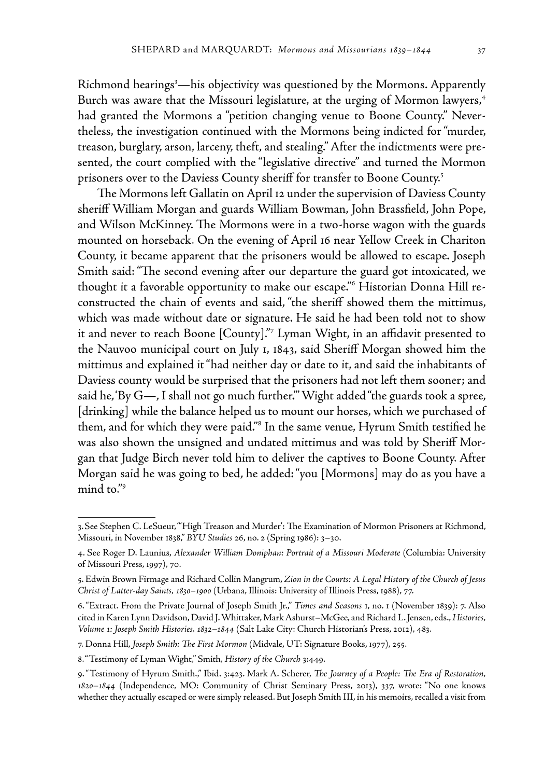Richmond hearings<sup>3</sup>—his objectivity was questioned by the Mormons. Apparently Burch was aware that the Missouri legislature, at the urging of Mormon lawyers,<sup>4</sup> had granted the Mormons a "petition changing venue to Boone County." Nevertheless, the investigation continued with the Mormons being indicted for "murder, treason, burglary, arson, larceny, theft, and stealing." After the indictments were presented, the court complied with the "legislative directive" and turned the Mormon prisoners over to the Daviess County sheriff for transfer to Boone County.<sup>5</sup>

The Mormons left Gallatin on April 12 under the supervision of Daviess County sheriff William Morgan and guards William Bowman, John Brassfield, John Pope, and Wilson McKinney. The Mormons were in a two-horse wagon with the guards mounted on horseback. On the evening of April 16 near Yellow Creek in Chariton County, it became apparent that the prisoners would be allowed to escape. Joseph Smith said: "The second evening after our departure the guard got intoxicated, we thought it a favorable opportunity to make our escape."6 Historian Donna Hill reconstructed the chain of events and said, "the sheriff showed them the mittimus, which was made without date or signature. He said he had been told not to show it and never to reach Boone [County]."7 Lyman Wight, in an affidavit presented to the Nauvoo municipal court on July 1, 1843, said Sheriff Morgan showed him the mittimus and explained it "had neither day or date to it, and said the inhabitants of Daviess county would be surprised that the prisoners had not left them sooner; and said he, 'By G—, I shall not go much further.'" Wight added "the guards took a spree, [drinking] while the balance helped us to mount our horses, which we purchased of them, and for which they were paid."8 In the same venue, Hyrum Smith testified he was also shown the unsigned and undated mittimus and was told by Sheriff Morgan that Judge Birch never told him to deliver the captives to Boone County. After Morgan said he was going to bed, he added: "you [Mormons] may do as you have a mind to."9

<sup>3.</sup>See Stephen C. LeSueur, "'High Treason and Murder': The Examination of Mormon Prisoners at Richmond, Missouri, in November 1838," *BYU Studies* 26, no. 2 (Spring 1986): 3–30.

<sup>4.</sup> See Roger D. Launius, *Alexander William Doniphan: Portrait of a Missouri Moderate* (Columbia: University of Missouri Press, 1997), 70.

<sup>5.</sup> Edwin Brown Firmage and Richard Collin Mangrum, *Zion in the Courts: A Legal History of the Church of Jesus Christ of Latter-day Saints, 1830–1900* (Urbana, Illinois: University of Illinois Press, 1988), 77.

<sup>6. &</sup>quot;Extract. From the Private Journal of Joseph Smith Jr.," *Times and Seasons* 1, no. 1 (November 1839): 7. Also cited in Karen Lynn Davidson, David J. Whittaker, Mark Ashurst–McGee, and Richard L. Jensen, eds., *Histories, Volume 1: Joseph Smith Histories, 1832–1844* (Salt Lake City: Church Historian's Press, 2012), 483.

<sup>7.</sup> Donna Hill, *Joseph Smith: The First Mormon* (Midvale, UT: Signature Books, 1977), 255.

<sup>8. &</sup>quot;Testimony of Lyman Wight," Smith, *History of the Church* 3:449.

<sup>9. &</sup>quot;Testimony of Hyrum Smith.," Ibid. 3:423. Mark A. Scherer, *The Journey of a People: The Era of Restoration, 1820–1844* (Independence, MO: Community of Christ Seminary Press, 2013), 337, wrote: "No one knows whether they actually escaped or were simply released. But Joseph Smith III, in his memoirs, recalled a visit from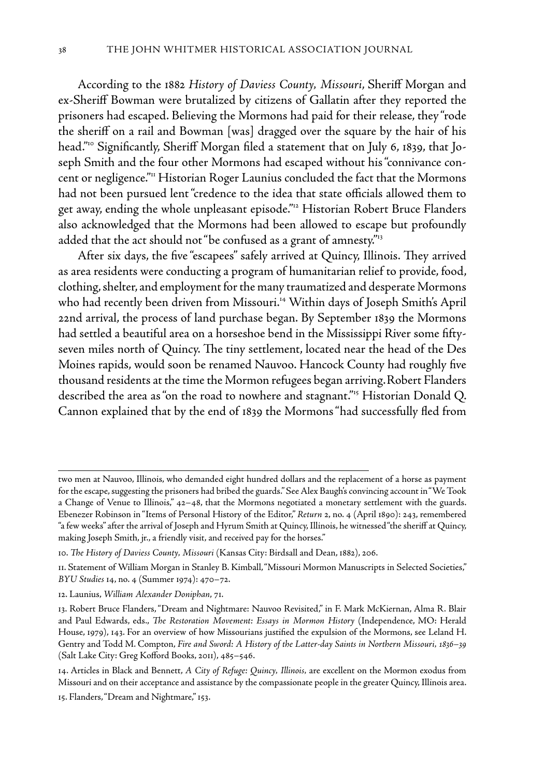According to the 1882 *History of Daviess County, Missouri*, Sheriff Morgan and ex-Sheriff Bowman were brutalized by citizens of Gallatin after they reported the prisoners had escaped. Believing the Mormons had paid for their release, they "rode the sheriff on a rail and Bowman [was] dragged over the square by the hair of his head."10 Significantly, Sheriff Morgan filed a statement that on July 6, 1839, that Joseph Smith and the four other Mormons had escaped without his "connivance concent or negligence."<sup>11</sup> Historian Roger Launius concluded the fact that the Mormons had not been pursued lent "credence to the idea that state officials allowed them to get away, ending the whole unpleasant episode."12 Historian Robert Bruce Flanders also acknowledged that the Mormons had been allowed to escape but profoundly added that the act should not "be confused as a grant of amnesty."<sup>13</sup>

After six days, the five "escapees" safely arrived at Quincy, Illinois. They arrived as area residents were conducting a program of humanitarian relief to provide, food, clothing, shelter, and employment for the many traumatized and desperate Mormons who had recently been driven from Missouri.14 Within days of Joseph Smith's April 22nd arrival, the process of land purchase began. By September 1839 the Mormons had settled a beautiful area on a horseshoe bend in the Mississippi River some fiftyseven miles north of Quincy. The tiny settlement, located near the head of the Des Moines rapids, would soon be renamed Nauvoo. Hancock County had roughly five thousand residents at the time the Mormon refugees began arriving.Robert Flanders described the area as "on the road to nowhere and stagnant."15 Historian Donald Q. Cannon explained that by the end of 1839 the Mormons "had successfully fled from

two men at Nauvoo, Illinois, who demanded eight hundred dollars and the replacement of a horse as payment for the escape, suggesting the prisoners had bribed the guards." See Alex Baugh's convincing account in "We Took a Change of Venue to Illinois," 42–48, that the Mormons negotiated a monetary settlement with the guards. Ebenezer Robinson in "Items of Personal History of the Editor," *Return* 2, no. 4 (April 1890): 243, remembered "a few weeks" after the arrival of Joseph and Hyrum Smith at Quincy, Illinois, he witnessed "the sheriff at Quincy, making Joseph Smith, jr., a friendly visit, and received pay for the horses."

<sup>10.</sup> *The History of Daviess County, Missouri* (Kansas City: Birdsall and Dean, 1882), 206.

<sup>11.</sup> Statement of William Morgan in Stanley B. Kimball, "Missouri Mormon Manuscripts in Selected Societies," *BYU Studies* 14, no. 4 (Summer 1974): 470–72.

<sup>12.</sup> Launius, *William Alexander Doniphan*, 71.

<sup>13.</sup> Robert Bruce Flanders, "Dream and Nightmare: Nauvoo Revisited," in F. Mark McKiernan, Alma R. Blair and Paul Edwards, eds., *The Restoration Movement: Essays in Mormon History* (Independence, MO: Herald House, 1979), 143. For an overview of how Missourians justified the expulsion of the Mormons, see Leland H. Gentry and Todd M. Compton, *Fire and Sword: A History of the Latter-day Saints in Northern Missouri, 1836–39*  (Salt Lake City: Greg Kofford Books, 2011), 485–546.

<sup>14.</sup> Articles in Black and Bennett, *A City of Refuge: Quincy, Illinois,* are excellent on the Mormon exodus from Missouri and on their acceptance and assistance by the compassionate people in the greater Quincy, Illinois area.

<sup>15.</sup> Flanders, "Dream and Nightmare," 153.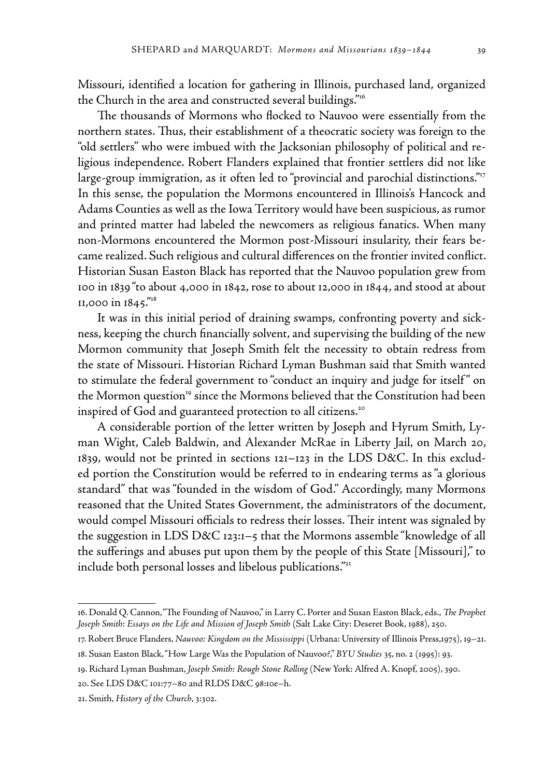Missouri, identified a location for gathering in Illinois, purchased land, organized the Church in the area and constructed several buildings."16

The thousands of Mormons who flocked to Nauvoo were essentially from the northern states. Thus, their establishment of a theocratic society was foreign to the "old settlers" who were imbued with the Jacksonian philosophy of political and religious independence. Robert Flanders explained that frontier settlers did not like large-group immigration, as it often led to "provincial and parochial distinctions."<sup>17</sup> In this sense, the population the Mormons encountered in Illinois's Hancock and Adams Counties as well as the Iowa Territory would have been suspicious, as rumor and printed matter had labeled the newcomers as religious fanatics. When many non-Mormons encountered the Mormon post-Missouri insularity, their fears became realized. Such religious and cultural differences on the frontier invited conflict. Historian Susan Easton Black has reported that the Nauvoo population grew from 100 in 1839 "to about 4,000 in 1842, rose to about 12,000 in 1844, and stood at about 11,000 in 1845."18

It was in this initial period of draining swamps, confronting poverty and sickness, keeping the church financially solvent, and supervising the building of the new Mormon community that Joseph Smith felt the necessity to obtain redress from the state of Missouri. Historian Richard Lyman Bushman said that Smith wanted to stimulate the federal government to "conduct an inquiry and judge for itself " on the Mormon question<sup>19</sup> since the Mormons believed that the Constitution had been inspired of God and guaranteed protection to all citizens.<sup>20</sup>

A considerable portion of the letter written by Joseph and Hyrum Smith, Lyman Wight, Caleb Baldwin, and Alexander McRae in Liberty Jail, on March 20, 1839, would not be printed in sections 121–123 in the LDS D&C. In this excluded portion the Constitution would be referred to in endearing terms as "a glorious standard" that was "founded in the wisdom of God." Accordingly, many Mormons reasoned that the United States Government, the administrators of the document, would compel Missouri officials to redress their losses. Their intent was signaled by the suggestion in LDS D&C 123:1–5 that the Mormons assemble "knowledge of all the sufferings and abuses put upon them by the people of this State [Missouri]," to include both personal losses and libelous publications."<sup>21</sup>

<sup>16.</sup> Donald Q. Cannon, "The Founding of Nauvoo," in Larry C. Porter and Susan Easton Black, eds., *The Prophet Joseph Smith: Essays on the Life and Mission of Joseph Smith* (Salt Lake City: Deseret Book, 1988), 250.

<sup>17.</sup> Robert Bruce Flanders, *Nauvoo: Kingdom on the Mississippi* (Urbana: University of Illinois Press,1975), 19–21.

<sup>18.</sup> Susan Easton Black, "How Large Was the Population of Nauvoo?," *BYU Studies* 35, no. 2 (1995): 93.

<sup>19.</sup> Richard Lyman Bushman, *Joseph Smith: Rough Stone Rolling* (New York: Alfred A. Knopf, 2005), 390.

<sup>20.</sup> See LDS D&C 101:77–80 and RLDS D&C 98:10e–h.

<sup>21.</sup> Smith, *History of the Church*, 3:302.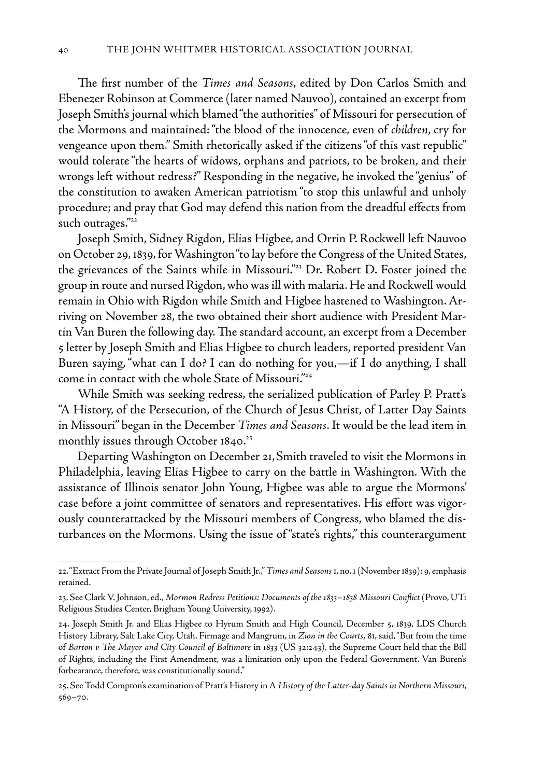The first number of the *Times and Seasons*, edited by Don Carlos Smith and Ebenezer Robinson at Commerce (later named Nauvoo), contained an excerpt from Joseph Smith's journal which blamed "the authorities" of Missouri for persecution of the Mormons and maintained: "the blood of the innocence, even of *children*, cry for vengeance upon them." Smith rhetorically asked if the citizens "of this vast republic" would tolerate "the hearts of widows, orphans and patriots, to be broken, and their wrongs left without redress?" Responding in the negative, he invoked the "genius" of the constitution to awaken American patriotism "to stop this unlawful and unholy procedure; and pray that God may defend this nation from the dreadful effects from such outrages."<sup>22</sup>

Joseph Smith, Sidney Rigdon, Elias Higbee, and Orrin P. Rockwell left Nauvoo on October 29, 1839, for Washington "to lay before the Congress of the United States, the grievances of the Saints while in Missouri."23 Dr. Robert D. Foster joined the group in route and nursed Rigdon, who was ill with malaria. He and Rockwell would remain in Ohio with Rigdon while Smith and Higbee hastened to Washington. Arriving on November 28, the two obtained their short audience with President Martin Van Buren the following day. The standard account, an excerpt from a December 5 letter by Joseph Smith and Elias Higbee to church leaders, reported president Van Buren saying, "what can I do? I can do nothing for you,—if I do anything, I shall come in contact with the whole State of Missouri."24

While Smith was seeking redress, the serialized publication of Parley P. Pratt's "A History, of the Persecution, of the Church of Jesus Christ, of Latter Day Saints in Missouri" began in the December *Times and Seasons*. It would be the lead item in monthly issues through October  $1840.^{25}$ 

Departing Washington on December 21,Smith traveled to visit the Mormons in Philadelphia, leaving Elias Higbee to carry on the battle in Washington. With the assistance of Illinois senator John Young, Higbee was able to argue the Mormons' case before a joint committee of senators and representatives. His effort was vigorously counterattacked by the Missouri members of Congress, who blamed the disturbances on the Mormons. Using the issue of "state's rights," this counterargument

<sup>22. &</sup>quot;Extract From the Private Journal of Joseph Smith Jr.," *Times and Seasons* 1, no. 1 (November 1839): 9, emphasis retained.

<sup>23.</sup> See Clark V. Johnson, ed., *Mormon Redress Petitions: Documents of the 1833–1838 Missouri Conflict* (Provo, UT: Religious Studies Center, Brigham Young University, 1992).

<sup>24.</sup> Joseph Smith Jr. and Elias Higbee to Hyrum Smith and High Council, December 5, 1839, LDS Church History Library, Salt Lake City, Utah. Firmage and Mangrum, in *Zion in the Courts*, 81, said, "But from the time of *Barton v The Mayor and City Council of Baltimore* in 1833 (US 32:243), the Supreme Court held that the Bill of Rights, including the First Amendment, was a limitation only upon the Federal Government. Van Buren's forbearance, therefore, was constitutionally sound."

<sup>25.</sup> See Todd Compton's examination of Pratt's History in A *History of the Latter-day Saints in Northern Missouri*, 569–70.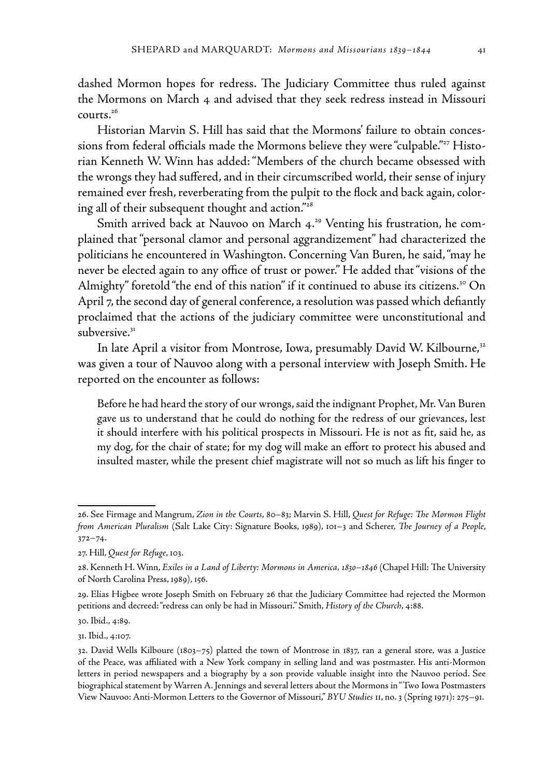dashed Mormon hopes for redress. The Judiciary Committee thus ruled against the Mormons on March 4 and advised that they seek redress instead in Missouri  $conerts.<sup>26</sup>$ 

Historian Marvin S. Hill has said that the Mormons' failure to obtain concessions from federal officials made the Mormons believe they were "culpable."<sup>27</sup> Historian Kenneth W. Winn has added: "Members of the church became obsessed with the wrongs they had suffered, and in their circumscribed world, their sense of injury remained ever fresh, reverberating from the pulpit to the flock and back again, coloring all of their subsequent thought and action."<sup>28</sup>

Smith arrived back at Nauvoo on March 4.<sup>29</sup> Venting his frustration, he complained that "personal clamor and personal aggrandizement" had characterized the politicians he encountered in Washington. Concerning Van Buren, he said, "may he never be elected again to any office of trust or power." He added that "visions of the Almighty" foretold "the end of this nation" if it continued to abuse its citizens.<sup>30</sup> On April 7, the second day of general conference, a resolution was passed which defiantly proclaimed that the actions of the judiciary committee were unconstitutional and subversive.<sup>31</sup>

In late April a visitor from Montrose, Iowa, presumably David W. Kilbourne,<sup>32</sup> was given a tour of Nauvoo along with a personal interview with Joseph Smith. He reported on the encounter as follows:

Before he had heard the story of our wrongs, said the indignant Prophet, Mr. Van Buren gave us to understand that he could do nothing for the redress of our grievances, lest it should interfere with his political prospects in Missouri. He is not as fit, said he, as my dog, for the chair of state; for my dog will make an effort to protect his abused and insulted master, while the present chief magistrate will not so much as lift his finger to

30. Ibid., 4:89.

31. Ibid., 4:107.

<sup>26.</sup> See Firmage and Mangrum, *Zion in the Courts*, 80–83; Marvin S. Hill, *Quest for Refuge: The Mormon Flight from American Pluralism* (Salt Lake City: Signature Books, 1989), 101–3 and Scherer, *The Journey of a People*, 372–74.

<sup>27.</sup> Hill, *Quest for Refuge*, 103.

<sup>28.</sup> Kenneth H. Winn, *Exiles in a Land of Liberty: Mormons in America, 1830–1846* (Chapel Hill: The University of North Carolina Press, 1989), 156.

<sup>29.</sup> Elias Higbee wrote Joseph Smith on February 26 that the Judiciary Committee had rejected the Mormon petitions and decreed: "redress can only be had in Missouri." Smith, *History of the Church*, 4:88.

<sup>32.</sup> David Wells Kilboure (1803–75) platted the town of Montrose in 1837, ran a general store, was a Justice of the Peace, was affiliated with a New York company in selling land and was postmaster. His anti-Mormon letters in period newspapers and a biography by a son provide valuable insight into the Nauvoo period. See biographical statement by Warren A. Jennings and several letters about the Mormons in "Two Iowa Postmasters View Nauvoo: Anti-Mormon Letters to the Governor of Missouri," *BYU Studies* 11, no. 3 (Spring 1971): 275–91.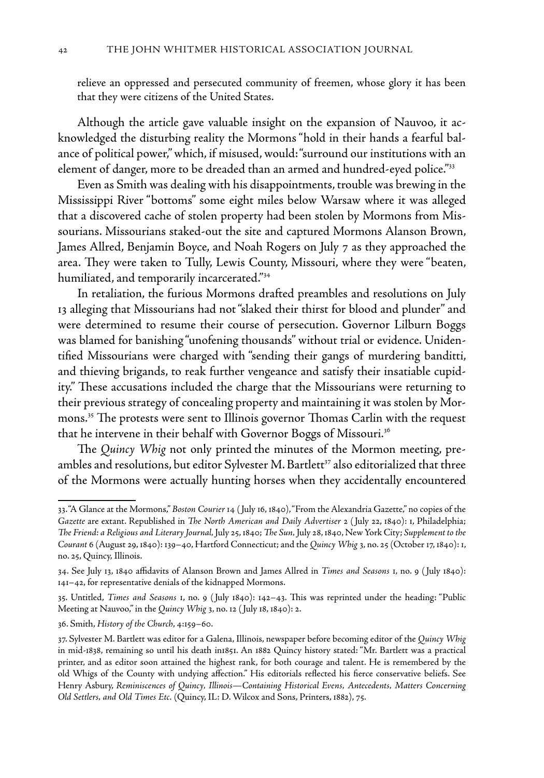relieve an oppressed and persecuted community of freemen, whose glory it has been that they were citizens of the United States.

Although the article gave valuable insight on the expansion of Nauvoo, it acknowledged the disturbing reality the Mormons "hold in their hands a fearful balance of political power," which, if misused, would: "surround our institutions with an element of danger, more to be dreaded than an armed and hundred-eyed police."33

Even as Smith was dealing with his disappointments, trouble was brewing in the Mississippi River "bottoms" some eight miles below Warsaw where it was alleged that a discovered cache of stolen property had been stolen by Mormons from Missourians. Missourians staked-out the site and captured Mormons Alanson Brown, James Allred, Benjamin Boyce, and Noah Rogers on July 7 as they approached the area. They were taken to Tully, Lewis County, Missouri, where they were "beaten, humiliated, and temporarily incarcerated."34

In retaliation, the furious Mormons drafted preambles and resolutions on July 13 alleging that Missourians had not "slaked their thirst for blood and plunder" and were determined to resume their course of persecution. Governor Lilburn Boggs was blamed for banishing "unofening thousands" without trial or evidence. Unidentified Missourians were charged with "sending their gangs of murdering banditti, and thieving brigands, to reak further vengeance and satisfy their insatiable cupidity." These accusations included the charge that the Missourians were returning to their previous strategy of concealing property and maintaining it was stolen by Mormons.35 The protests were sent to Illinois governor Thomas Carlin with the request that he intervene in their behalf with Governor Boggs of Missouri.<sup>36</sup>

The *Quincy Whig* not only printed the minutes of the Mormon meeting, preambles and resolutions, but editor Sylvester M. Bartlett $\mathrm{^{37}}$  also editorialized that three of the Mormons were actually hunting horses when they accidentally encountered

<sup>33. &</sup>quot;A Glance at the Mormons," *Boston Courier* 14 ( July 16, 1840), "From the Alexandria Gazette," no copies of the *Gazette* are extant. Republished in *The North American and Daily Advertiser* 2 ( July 22, 1840): 1, Philadelphia; *The Friend: a Religious and Literary Journal,* July 25, 1840; *The Sun,* July 28, 1840, New York City; *Supplement to the Courant* 6 (August 29, 1840): 139–40, Hartford Connecticut; and the *Quincy Whig* 3, no. 25 (October 17, 1840): 1, no. 25, Quincy, Illinois.

<sup>34.</sup> See July 13, 1840 affidavits of Alanson Brown and James Allred in *Times and Seasons* 1, no. 9 ( July 1840): 141–42, for representative denials of the kidnapped Mormons.

<sup>35.</sup> Untitled, *Times and Seasons* 1, no. 9 ( July 1840): 142–43. This was reprinted under the heading: "Public Meeting at Nauvoo," in the *Quincy Whig* 3, no. 12 ( July 18, 1840): 2.

<sup>36.</sup> Smith, *History of the Church*, 4:159–60.

<sup>37.</sup> Sylvester M. Bartlett was editor for a Galena, Illinois, newspaper before becoming editor of the *Quincy Whig*  in mid-1838, remaining so until his death in1851. An 1882 Quincy history stated: "Mr. Bartlett was a practical printer, and as editor soon attained the highest rank, for both courage and talent. He is remembered by the old Whigs of the County with undying affection." His editorials reflected his fierce conservative beliefs. See Henry Asbury, *Reminiscences of Quincy, Illinois—Containing Historical Evens, Antecedents, Matters Concerning Old Settlers, and Old Times Etc.* (Quincy, IL: D. Wilcox and Sons, Printers, 1882), 75.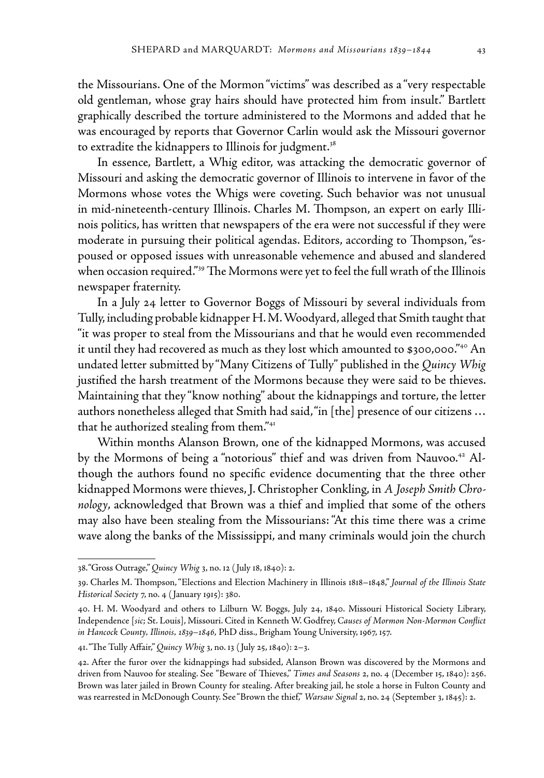the Missourians. One of the Mormon "victims" was described as a "very respectable old gentleman, whose gray hairs should have protected him from insult." Bartlett graphically described the torture administered to the Mormons and added that he was encouraged by reports that Governor Carlin would ask the Missouri governor to extradite the kidnappers to Illinois for judgment.<sup>38</sup>

In essence, Bartlett, a Whig editor, was attacking the democratic governor of Missouri and asking the democratic governor of Illinois to intervene in favor of the Mormons whose votes the Whigs were coveting. Such behavior was not unusual in mid-nineteenth-century Illinois. Charles M. Thompson, an expert on early Illinois politics, has written that newspapers of the era were not successful if they were moderate in pursuing their political agendas. Editors, according to Thompson, "espoused or opposed issues with unreasonable vehemence and abused and slandered when occasion required."<sup>39</sup> The Mormons were yet to feel the full wrath of the Illinois newspaper fraternity.

In a July 24 letter to Governor Boggs of Missouri by several individuals from Tully, including probable kidnapper H. M. Woodyard, alleged that Smith taught that "it was proper to steal from the Missourians and that he would even recommended it until they had recovered as much as they lost which amounted to \$300,000."40 An undated letter submitted by "Many Citizens of Tully" published in the *Quincy Whig*  justified the harsh treatment of the Mormons because they were said to be thieves. Maintaining that they "know nothing" about the kidnappings and torture, the letter authors nonetheless alleged that Smith had said, "in [the] presence of our citizens … that he authorized stealing from them."<sup>41</sup>

Within months Alanson Brown, one of the kidnapped Mormons, was accused by the Mormons of being a "notorious" thief and was driven from Nauvoo.<sup>42</sup> Although the authors found no specific evidence documenting that the three other kidnapped Mormons were thieves, J. Christopher Conkling, in *A Joseph Smith Chronology*, acknowledged that Brown was a thief and implied that some of the others may also have been stealing from the Missourians: "At this time there was a crime wave along the banks of the Mississippi, and many criminals would join the church

<sup>38.&</sup>quot;Gross Outrage," *Quincy Whig* 3, no. 12 ( July 18, 1840): 2.

<sup>39.</sup> Charles M. Thompson, "Elections and Election Machinery in Illinois 1818–1848," *Journal of the Illinois State Historical Society* 7, no. 4 ( January 1915): 380.

<sup>40.</sup> H. M. Woodyard and others to Lilburn W. Boggs, July 24, 1840. Missouri Historical Society Library, Independence [*sic*; St. Louis], Missouri. Cited in Kenneth W. Godfrey, *Causes of Mormon Non-Mormon Conflict in Hancock County, Illinois, 1839–1846*, PhD diss., Brigham Young University, 1967, 157.

<sup>41. &</sup>quot;The Tully Affair," *Quincy Whig* 3, no. 13 ( July 25, 1840): 2–3.

<sup>42.</sup> After the furor over the kidnappings had subsided, Alanson Brown was discovered by the Mormons and driven from Nauvoo for stealing. See "Beware of Thieves," *Times and Seasons* 2, no. 4 (December 15, 1840): 256. Brown was later jailed in Brown County for stealing. After breaking jail, he stole a horse in Fulton County and was rearrested in McDonough County. See "Brown the thief," *Warsaw Signal* 2, no. 24 (September 3, 1845): 2.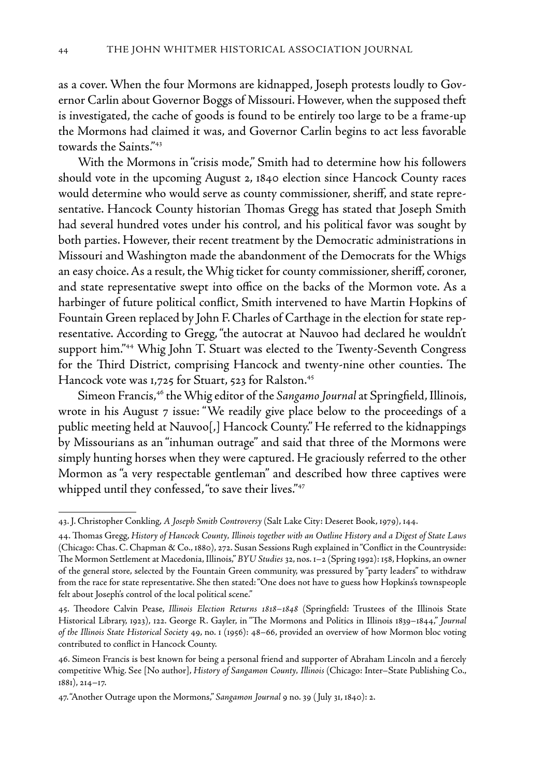as a cover. When the four Mormons are kidnapped, Joseph protests loudly to Governor Carlin about Governor Boggs of Missouri. However, when the supposed theft is investigated, the cache of goods is found to be entirely too large to be a frame-up the Mormons had claimed it was, and Governor Carlin begins to act less favorable towards the Saints."43

With the Mormons in "crisis mode," Smith had to determine how his followers should vote in the upcoming August 2, 1840 election since Hancock County races would determine who would serve as county commissioner, sheriff, and state representative. Hancock County historian Thomas Gregg has stated that Joseph Smith had several hundred votes under his control, and his political favor was sought by both parties. However, their recent treatment by the Democratic administrations in Missouri and Washington made the abandonment of the Democrats for the Whigs an easy choice. As a result, the Whig ticket for county commissioner, sheriff, coroner, and state representative swept into office on the backs of the Mormon vote. As a harbinger of future political conflict, Smith intervened to have Martin Hopkins of Fountain Green replaced by John F. Charles of Carthage in the election for state representative. According to Gregg, "the autocrat at Nauvoo had declared he wouldn't support him."44 Whig John T. Stuart was elected to the Twenty-Seventh Congress for the Third District, comprising Hancock and twenty-nine other counties. The Hancock vote was 1,725 for Stuart, 523 for Ralston.<sup>45</sup>

Simeon Francis,46 the Whig editor of the *Sangamo Journal* at Springfield, Illinois, wrote in his August 7 issue: "We readily give place below to the proceedings of a public meeting held at Nauvoo[,] Hancock County." He referred to the kidnappings by Missourians as an "inhuman outrage" and said that three of the Mormons were simply hunting horses when they were captured. He graciously referred to the other Mormon as "a very respectable gentleman" and described how three captives were whipped until they confessed, "to save their lives."<sup>47</sup>

<sup>43.</sup> J. Christopher Conkling, *A Joseph Smith Controversy* (Salt Lake City: Deseret Book, 1979), 144.

<sup>44.</sup> Thomas Gregg, *History of Hancock County, Illinois together with an Outline History and a Digest of State Laws*  (Chicago: Chas. C. Chapman & Co., 1880), 272. Susan Sessions Rugh explained in "Conflict in the Countryside: The Mormon Settlement at Macedonia, Illinois," *BYU Studies* 32, nos. 1–2 (Spring 1992): 158, Hopkins, an owner of the general store, selected by the Fountain Green community, was pressured by "party leaders" to withdraw from the race for state representative. She then stated: "One does not have to guess how Hopkins's townspeople felt about Joseph's control of the local political scene."

<sup>45.</sup> Theodore Calvin Pease, *Illinois Election Returns 1818–1848* (Springfield: Trustees of the Illinois State Historical Library, 1923), 122. George R. Gayler, in "The Mormons and Politics in Illinois 1839–1844," *Journal of the Illinois State Historical Society* 49, no. 1 (1956): 48–66, provided an overview of how Mormon bloc voting contributed to conflict in Hancock County.

<sup>46.</sup> Simeon Francis is best known for being a personal friend and supporter of Abraham Lincoln and a fiercely competitive Whig. See [No author], *History of Sangamon County, Illinois* (Chicago: Inter–State Publishing Co., 1881), 214–17.

<sup>47. &</sup>quot;Another Outrage upon the Mormons," *Sangamon Journal* 9 no. 39 ( July 31, 1840): 2.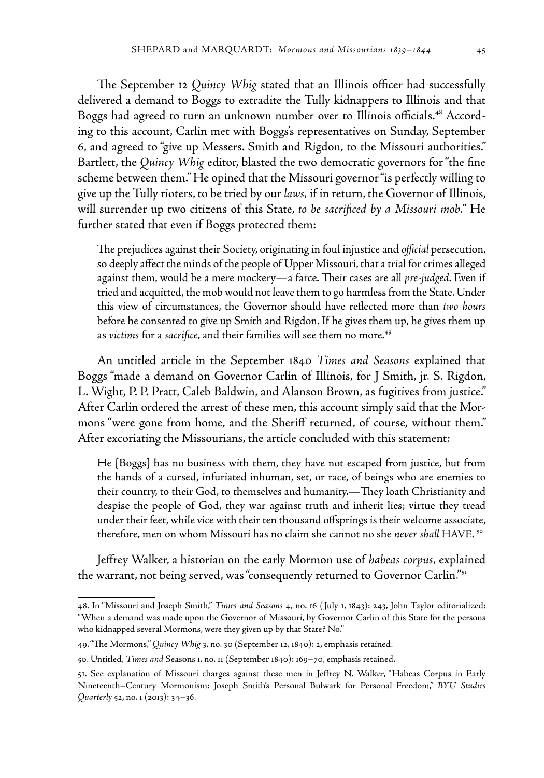The September 12 *Quincy Whig* stated that an Illinois officer had successfully delivered a demand to Boggs to extradite the Tully kidnappers to Illinois and that Boggs had agreed to turn an unknown number over to Illinois officials.<sup>48</sup> According to this account, Carlin met with Boggs's representatives on Sunday, September 6, and agreed to "give up Messers. Smith and Rigdon, to the Missouri authorities." Bartlett, the *Quincy Whig* editor, blasted the two democratic governors for "the fine scheme between them." He opined that the Missouri governor "is perfectly willing to give up the Tully rioters, to be tried by our *laws,* if in return, the Governor of Illinois, will surrender up two citizens of this State, *to be sacrificed by a Missouri mob.*" He further stated that even if Boggs protected them:

The prejudices against their Society, originating in foul injustice and *official* persecution, so deeply affect the minds of the people of Upper Missouri, that a trial for crimes alleged against them, would be a mere mockery—a farce. Their cases are all *pre-judged*. Even if tried and acquitted, the mob would not leave them to go harmless from the State. Under this view of circumstances, the Governor should have reflected more than *two hours* before he consented to give up Smith and Rigdon. If he gives them up, he gives them up as *victims* for a *sacrifice*, and their families will see them no more.<sup>49</sup>

An untitled article in the September 1840 *Times and Seasons* explained that Boggs "made a demand on Governor Carlin of Illinois, for J Smith, jr. S. Rigdon, L. Wight, P. P. Pratt, Caleb Baldwin, and Alanson Brown, as fugitives from justice." After Carlin ordered the arrest of these men, this account simply said that the Mormons "were gone from home, and the Sheriff returned, of course, without them." After excoriating the Missourians, the article concluded with this statement:

He [Boggs] has no business with them, they have not escaped from justice, but from the hands of a cursed, infuriated inhuman, set, or race, of beings who are enemies to their country, to their God, to themselves and humanity.—They loath Christianity and despise the people of God, they war against truth and inherit lies; virtue they tread under their feet, while vice with their ten thousand offsprings is their welcome associate, therefore, men on whom Missouri has no claim she cannot no she *never shall* HAVE. 50

Jeffrey Walker, a historian on the early Mormon use of *habeas corpus,* explained the warrant, not being served, was "consequently returned to Governor Carlin."51

<sup>48.</sup> In "Missouri and Joseph Smith," *Times and Seasons* 4, no. 16 ( July 1, 1843): 243, John Taylor editorialized: "When a demand was made upon the Governor of Missouri, by Governor Carlin of this State for the persons who kidnapped several Mormons, were they given up by that State? No."

<sup>49. &</sup>quot;The Mormons," *Quincy Whig* 3, no. 30 (September 12, 1840): 2, emphasis retained.

<sup>50.</sup> Untitled, *Times and* Seasons 1, no. 11 (September 1840): 169–70, emphasis retained.

<sup>51.</sup> See explanation of Missouri charges against these men in Jeffrey N. Walker, "Habeas Corpus in Early Nineteenth–Century Mormonism: Joseph Smith's Personal Bulwark for Personal Freedom," *BYU Studies Quarterly* 52, no. 1 (2013): 34–36.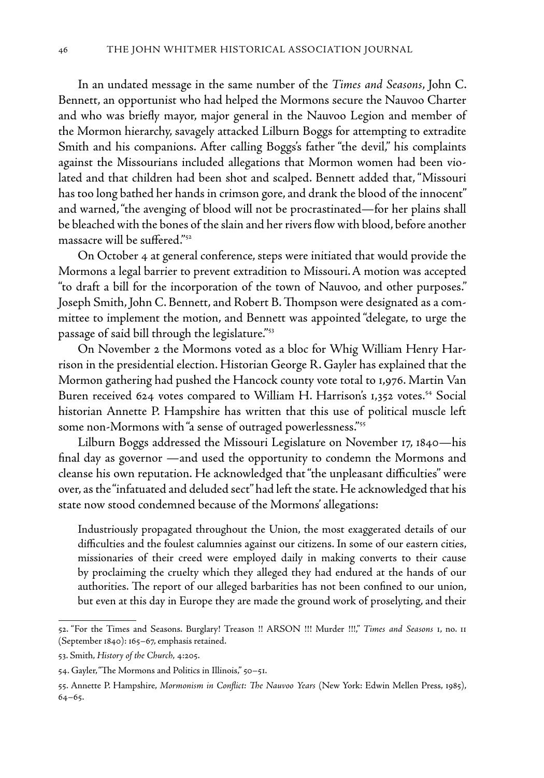In an undated message in the same number of the *Times and Seasons*, John C. Bennett, an opportunist who had helped the Mormons secure the Nauvoo Charter and who was briefly mayor, major general in the Nauvoo Legion and member of the Mormon hierarchy, savagely attacked Lilburn Boggs for attempting to extradite Smith and his companions. After calling Boggs's father "the devil," his complaints against the Missourians included allegations that Mormon women had been violated and that children had been shot and scalped. Bennett added that, "Missouri has too long bathed her hands in crimson gore, and drank the blood of the innocent" and warned, "the avenging of blood will not be procrastinated—for her plains shall be bleached with the bones of the slain and her rivers flow with blood, before another massacre will be suffered."52

On October 4 at general conference, steps were initiated that would provide the Mormons a legal barrier to prevent extradition to Missouri.A motion was accepted "to draft a bill for the incorporation of the town of Nauvoo, and other purposes." Joseph Smith, John C. Bennett, and Robert B. Thompson were designated as a committee to implement the motion, and Bennett was appointed "delegate, to urge the passage of said bill through the legislature."53

On November 2 the Mormons voted as a bloc for Whig William Henry Harrison in the presidential election. Historian George R. Gayler has explained that the Mormon gathering had pushed the Hancock county vote total to 1,976. Martin Van Buren received 624 votes compared to William H. Harrison's 1,352 votes.<sup>54</sup> Social historian Annette P. Hampshire has written that this use of political muscle left some non-Mormons with "a sense of outraged powerlessness."<sup>55</sup>

Lilburn Boggs addressed the Missouri Legislature on November 17, 1840—his final day as governor —and used the opportunity to condemn the Mormons and cleanse his own reputation. He acknowledged that "the unpleasant difficulties" were over, as the "infatuated and deluded sect" had left the state. He acknowledged that his state now stood condemned because of the Mormons' allegations:

Industriously propagated throughout the Union, the most exaggerated details of our difficulties and the foulest calumnies against our citizens. In some of our eastern cities, missionaries of their creed were employed daily in making converts to their cause by proclaiming the cruelty which they alleged they had endured at the hands of our authorities. The report of our alleged barbarities has not been confined to our union, but even at this day in Europe they are made the ground work of proselyting, and their

<sup>52. &</sup>quot;For the Times and Seasons. Burglary! Treason !! ARSON !!! Murder !!!," *Times and Seasons* 1, no. 11 (September 1840): 165–67, emphasis retained.

<sup>53.</sup> Smith, *History of the Church*, 4:205.

<sup>54.</sup> Gayler, "The Mormons and Politics in Illinois," 50–51.

<sup>55.</sup> Annette P. Hampshire, *Mormonism in Conflict: The Nauvoo Years* (New York: Edwin Mellen Press, 1985), 64–65.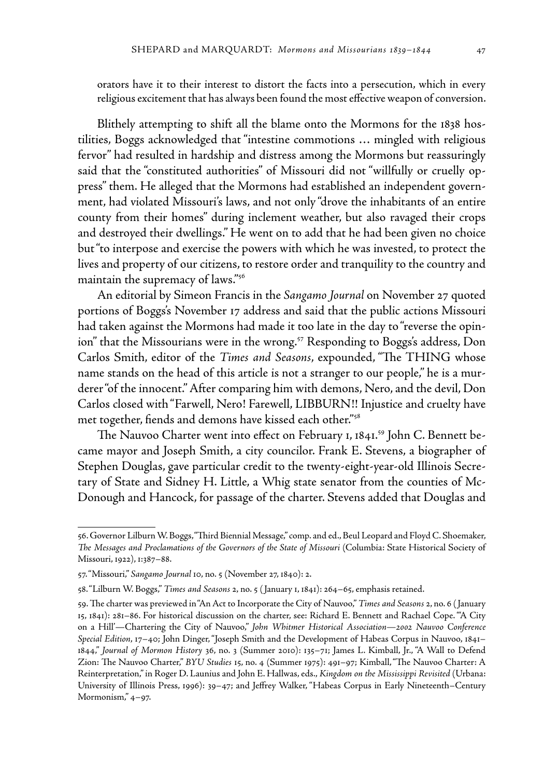orators have it to their interest to distort the facts into a persecution, which in every religious excitement that has always been found the most effective weapon of conversion.

Blithely attempting to shift all the blame onto the Mormons for the 1838 hostilities, Boggs acknowledged that "intestine commotions … mingled with religious fervor" had resulted in hardship and distress among the Mormons but reassuringly said that the "constituted authorities" of Missouri did not "willfully or cruelly oppress" them. He alleged that the Mormons had established an independent government, had violated Missouri's laws, and not only "drove the inhabitants of an entire county from their homes" during inclement weather, but also ravaged their crops and destroyed their dwellings." He went on to add that he had been given no choice but "to interpose and exercise the powers with which he was invested, to protect the lives and property of our citizens, to restore order and tranquility to the country and maintain the supremacy of laws."56

An editorial by Simeon Francis in the *Sangamo Journal* on November 27 quoted portions of Boggs's November 17 address and said that the public actions Missouri had taken against the Mormons had made it too late in the day to "reverse the opinion" that the Missourians were in the wrong.<sup>57</sup> Responding to Boggs's address, Don Carlos Smith, editor of the *Times and Seasons*, expounded, "The THING whose name stands on the head of this article is not a stranger to our people," he is a murderer "of the innocent." After comparing him with demons, Nero, and the devil, Don Carlos closed with "Farwell, Nero! Farewell, LIBBURN!! Injustice and cruelty have met together, fiends and demons have kissed each other."58

The Nauvoo Charter went into effect on February 1, 1841.<sup>59</sup> John C. Bennett became mayor and Joseph Smith, a city councilor. Frank E. Stevens, a biographer of Stephen Douglas, gave particular credit to the twenty-eight-year-old Illinois Secretary of State and Sidney H. Little, a Whig state senator from the counties of Mc-Donough and Hancock, for passage of the charter. Stevens added that Douglas and

<sup>56.</sup> Governor Lilburn W. Boggs, "Third Biennial Message," comp. and ed., Beul Leopard and Floyd C. Shoemaker, *The Messages and Proclamations of the Governors of the State of Missouri* (Columbia: State Historical Society of Missouri, 1922), 1:387–88.

<sup>57. &</sup>quot;Missouri," *Sangamo Journal* 10, no. 5 (November 27, 1840): 2.

<sup>58. &</sup>quot;Lilburn W. Boggs," *Times and Seasons* 2, no. 5 ( January 1, 1841): 264–65, emphasis retained.

<sup>59.</sup> The charter was previewed in "An Act to Incorporate the City of Nauvoo," *Times and Seasons* 2, no. 6 ( January 15, 1841): 281–86. For historical discussion on the charter, see: Richard E. Bennett and Rachael Cope. "'A City on a Hill'—Chartering the City of Nauvoo," *John Whitmer Historical Association—2002 Nauvoo Conference Special Edition*, 17–40; John Dinger, "Joseph Smith and the Development of Habeas Corpus in Nauvoo, 1841– 1844," *Journal of Mormon History* 36, no. 3 (Summer 2010): 135–71; James L. Kimball, Jr., "A Wall to Defend Zion: The Nauvoo Charter," *BYU Studies* 15, no. 4 (Summer 1975): 491–97; Kimball, "The Nauvoo Charter: A Reinterpretation," in Roger D. Launius and John E. Hallwas, eds., *Kingdom on the Mississippi Revisited* (Urbana: University of Illinois Press, 1996): 39–47; and Jeffrey Walker, "Habeas Corpus in Early Nineteenth–Century Mormonism," 4–97.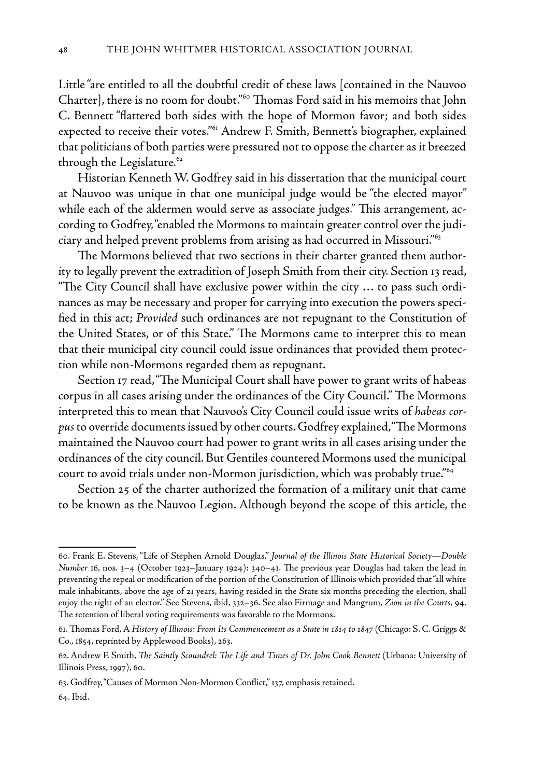Little "are entitled to all the doubtful credit of these laws [contained in the Nauvoo Charter], there is no room for doubt."60 Thomas Ford said in his memoirs that John C. Bennett "flattered both sides with the hope of Mormon favor; and both sides expected to receive their votes."<sup>61</sup> Andrew F. Smith, Bennett's biographer, explained that politicians of both parties were pressured not to oppose the charter as it breezed through the Legislature.<sup>62</sup>

Historian Kenneth W. Godfrey said in his dissertation that the municipal court at Nauvoo was unique in that one municipal judge would be "the elected mayor" while each of the aldermen would serve as associate judges." This arrangement, according to Godfrey, "enabled the Mormons to maintain greater control over the judiciary and helped prevent problems from arising as had occurred in Missouri."63

The Mormons believed that two sections in their charter granted them authority to legally prevent the extradition of Joseph Smith from their city. Section 13 read, "The City Council shall have exclusive power within the city  $\ldots$  to pass such ordinances as may be necessary and proper for carrying into execution the powers specified in this act; *Provided* such ordinances are not repugnant to the Constitution of the United States, or of this State." The Mormons came to interpret this to mean that their municipal city council could issue ordinances that provided them protection while non-Mormons regarded them as repugnant.

Section 17 read, "The Municipal Court shall have power to grant writs of habeas corpus in all cases arising under the ordinances of the City Council." The Mormons interpreted this to mean that Nauvoo's City Council could issue writs of *habeas corpus* to override documents issued by other courts. Godfrey explained, "The Mormons maintained the Nauvoo court had power to grant writs in all cases arising under the ordinances of the city council. But Gentiles countered Mormons used the municipal court to avoid trials under non-Mormon jurisdiction, which was probably true."64

Section 25 of the charter authorized the formation of a military unit that came to be known as the Nauvoo Legion. Although beyond the scope of this article, the

<sup>60.</sup> Frank E. Stevens, "Life of Stephen Arnold Douglas," *Journal of the Illinois State Historical Society—Double Number* 16, nos. 3–4 (October 1923–January 1924): 340–41. The previous year Douglas had taken the lead in preventing the repeal or modification of the portion of the Constitution of Illinois which provided that "all white male inhabitants, above the age of 21 years, having resided in the State six months preceding the election, shall enjoy the right of an elector." See Stevens, ibid, 332–36. See also Firmage and Mangrum, *Zion in the Courts,* 94. The retention of liberal voting requirements was favorable to the Mormons.

<sup>61.</sup> Thomas Ford, A *History of Illinois*: *From Its Commencement as a State in 1814 to 1847* (Chicago: S. C. Griggs & Co., 1854, reprinted by Applewood Books), 263.

<sup>62.</sup> Andrew F. Smith, *The Saintly Scoundrel: The Life and Times of Dr. John Cook Bennett* (Urbana: University of Illinois Press, 1997), 60.

<sup>63.</sup> Godfrey, "Causes of Mormon Non-Mormon Conflict," 137, emphasis retained.

<sup>64.</sup> Ibid.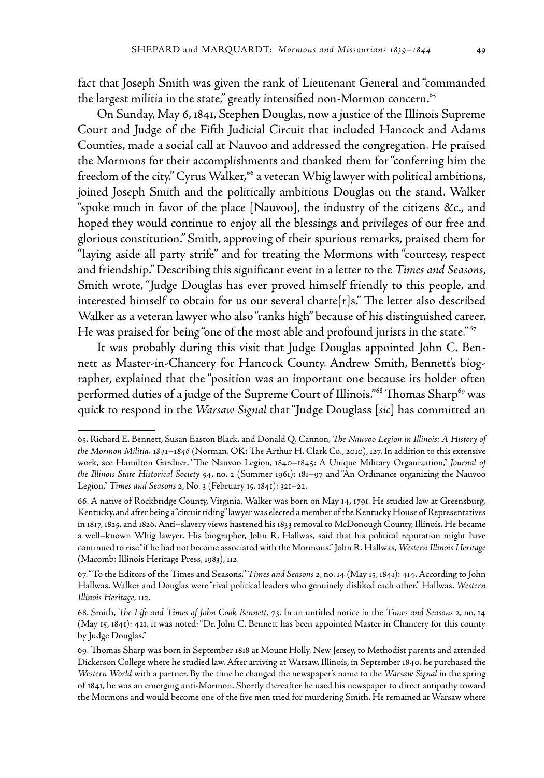fact that Joseph Smith was given the rank of Lieutenant General and "commanded the largest militia in the state," greatly intensified non-Mormon concern.<sup>65</sup>

On Sunday, May 6, 1841, Stephen Douglas, now a justice of the Illinois Supreme Court and Judge of the Fifth Judicial Circuit that included Hancock and Adams Counties, made a social call at Nauvoo and addressed the congregation. He praised the Mormons for their accomplishments and thanked them for "conferring him the freedom of the city." Cyrus Walker,<sup>66</sup> a veteran Whig lawyer with political ambitions, joined Joseph Smith and the politically ambitious Douglas on the stand. Walker "spoke much in favor of the place [Nauvoo], the industry of the citizens &c., and hoped they would continue to enjoy all the blessings and privileges of our free and glorious constitution." Smith, approving of their spurious remarks, praised them for "laying aside all party strife" and for treating the Mormons with "courtesy, respect and friendship." Describing this significant event in a letter to the *Times and Seasons*, Smith wrote, "Judge Douglas has ever proved himself friendly to this people, and interested himself to obtain for us our several charte $[r]s$ ." The letter also described Walker as a veteran lawyer who also "ranks high" because of his distinguished career. He was praised for being "one of the most able and profound jurists in the state."<sup>67</sup>

It was probably during this visit that Judge Douglas appointed John C. Bennett as Master-in-Chancery for Hancock County. Andrew Smith, Bennett's biographer, explained that the "position was an important one because its holder often performed duties of a judge of the Supreme Court of Illinois."<sup>68</sup> Thomas Sharp<sup>69</sup> was quick to respond in the *Warsaw Signal* that "Judge Douglass [*sic*] has committed an

<sup>65.</sup> Richard E. Bennett, Susan Easton Black, and Donald Q. Cannon, *The Nauvoo Legion in Illinois: A History of the Mormon Militia, 1841–1846* (Norman, OK: The Arthur H. Clark Co., 2010), 127. In addition to this extensive work, see Hamilton Gardner, "The Nauvoo Legion, 1840–1845: A Unique Military Organization," *Journal of the Illinois State Historical Society* 54, no. 2 (Summer 1961): 181–97 and "An Ordinance organizing the Nauvoo Legion," *Times and Seasons* 2, No. 3 (February 15, 1841): 321–22.

<sup>66.</sup> A native of Rockbridge County, Virginia, Walker was born on May 14, 1791. He studied law at Greensburg, Kentucky, and after being a "circuit riding" lawyer was elected a member of the Kentucky House of Representatives in 1817, 1825, and 1826. Anti–slavery views hastened his 1833 removal to McDonough County, Illinois. He became a well–known Whig lawyer. His biographer, John R. Hallwas, said that his political reputation might have continued to rise "if he had not become associated with the Mormons." John R. Hallwas, *Western Illinois Heritage*  (Macomb: Illinois Heritage Press, 1983), 112.

<sup>67. &</sup>quot;To the Editors of the Times and Seasons," *Times and Seasons* 2, no. 14 (May 15, 1841): 414. According to John Hallwas, Walker and Douglas were "rival political leaders who genuinely disliked each other." Hallwas, *Western Illinois Heritage,* 112.

<sup>68.</sup> Smith, *The Life and Times of John Cook Bennett,* 73. In an untitled notice in the *Times and Seasons* 2, no. 14 (May 15, 1841): 421, it was noted: "Dr. John C. Bennett has been appointed Master in Chancery for this county by Judge Douglas."

<sup>69.</sup> Thomas Sharp was born in September 1818 at Mount Holly, New Jersey, to Methodist parents and attended Dickerson College where he studied law. After arriving at Warsaw, Illinois, in September 1840, he purchased the *Western World* with a partner. By the time he changed the newspaper's name to the *Warsaw Signal* in the spring of 1841, he was an emerging anti-Mormon. Shortly thereafter he used his newspaper to direct antipathy toward the Mormons and would become one of the five men tried for murdering Smith. He remained at Warsaw where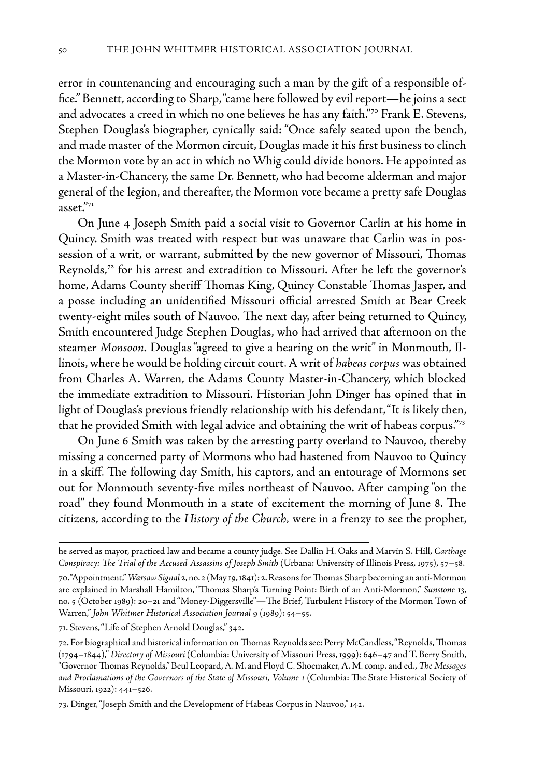error in countenancing and encouraging such a man by the gift of a responsible office." Bennett, according to Sharp, "came here followed by evil report—he joins a sect and advocates a creed in which no one believes he has any faith."70 Frank E. Stevens, Stephen Douglas's biographer, cynically said: "Once safely seated upon the bench, and made master of the Mormon circuit, Douglas made it his first business to clinch the Mormon vote by an act in which no Whig could divide honors. He appointed as a Master-in-Chancery, the same Dr. Bennett, who had become alderman and major general of the legion, and thereafter, the Mormon vote became a pretty safe Douglas asset."71

On June 4 Joseph Smith paid a social visit to Governor Carlin at his home in Quincy. Smith was treated with respect but was unaware that Carlin was in possession of a writ, or warrant, submitted by the new governor of Missouri, Thomas Reynolds,<sup>72</sup> for his arrest and extradition to Missouri. After he left the governor's home, Adams County sheriff Thomas King, Quincy Constable Thomas Jasper, and a posse including an unidentified Missouri official arrested Smith at Bear Creek twenty-eight miles south of Nauvoo. The next day, after being returned to Quincy, Smith encountered Judge Stephen Douglas, who had arrived that afternoon on the steamer *Monsoon.* Douglas "agreed to give a hearing on the writ" in Monmouth, Illinois, where he would be holding circuit court. A writ of *habeas corpus* was obtained from Charles A. Warren, the Adams County Master-in-Chancery, which blocked the immediate extradition to Missouri. Historian John Dinger has opined that in light of Douglas's previous friendly relationship with his defendant, "It is likely then, that he provided Smith with legal advice and obtaining the writ of habeas corpus."73

On June 6 Smith was taken by the arresting party overland to Nauvoo, thereby missing a concerned party of Mormons who had hastened from Nauvoo to Quincy in a skiff. The following day Smith, his captors, and an entourage of Mormons set out for Monmouth seventy-five miles northeast of Nauvoo. After camping "on the road" they found Monmouth in a state of excitement the morning of June 8. The citizens, according to the *History of the Church,* were in a frenzy to see the prophet,

71. Stevens, "Life of Stephen Arnold Douglas," 342.

he served as mayor, practiced law and became a county judge. See Dallin H. Oaks and Marvin S. Hill, *Carthage Conspiracy: The Trial of the Accused Assassins of Joseph Smith* (Urbana: University of Illinois Press, 1975), 57–58.

<sup>70. &</sup>quot;Appointment," *Warsaw Signal* 2, no. 2 (May 19, 1841): 2. Reasons for Thomas Sharp becoming an anti-Mormon are explained in Marshall Hamilton, "Thomas Sharp's Turning Point: Birth of an Anti-Mormon," *Sunstone* 13, no. 5 (October 1989): 20–21 and "Money-Diggersville"—The Brief, Turbulent History of the Mormon Town of Warren," *John Whitmer Historical Association Journal* 9 (1989): 54–55.

<sup>72.</sup> For biographical and historical information on Thomas Reynolds see: Perry McCandless, "Reynolds, Thomas (1794–1844)," *Directory of Missouri* (Columbia: University of Missouri Press, 1999): 646–47 and T. Berry Smith, "Governor Thomas Reynolds," Beul Leopard, A. M. and Floyd C. Shoemaker, A. M. comp. and ed., *The Messages and Proclamations of the Governors of the State of Missouri, Volume 1* (Columbia: The State Historical Society of Missouri, 1922): 441–526.

<sup>73.</sup> Dinger, "Joseph Smith and the Development of Habeas Corpus in Nauvoo," 142.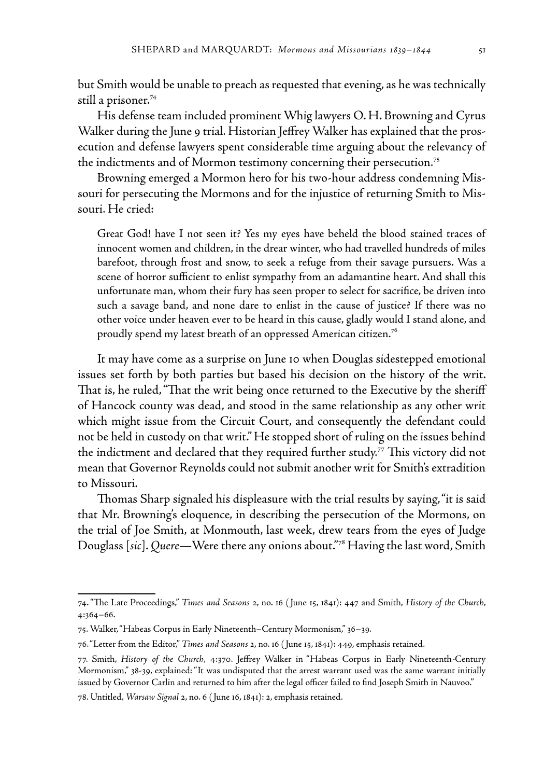but Smith would be unable to preach as requested that evening, as he was technically still a prisoner.<sup>74</sup>

His defense team included prominent Whig lawyers O. H. Browning and Cyrus Walker during the June 9 trial. Historian Jeffrey Walker has explained that the prosecution and defense lawyers spent considerable time arguing about the relevancy of the indictments and of Mormon testimony concerning their persecution.<sup>75</sup>

Browning emerged a Mormon hero for his two-hour address condemning Missouri for persecuting the Mormons and for the injustice of returning Smith to Missouri. He cried:

Great God! have I not seen it? Yes my eyes have beheld the blood stained traces of innocent women and children, in the drear winter, who had travelled hundreds of miles barefoot, through frost and snow, to seek a refuge from their savage pursuers. Was a scene of horror sufficient to enlist sympathy from an adamantine heart. And shall this unfortunate man, whom their fury has seen proper to select for sacrifice, be driven into such a savage band, and none dare to enlist in the cause of justice? If there was no other voice under heaven ever to be heard in this cause, gladly would I stand alone, and proudly spend my latest breath of an oppressed American citizen.76

It may have come as a surprise on June 10 when Douglas sidestepped emotional issues set forth by both parties but based his decision on the history of the writ. That is, he ruled, "That the writ being once returned to the Executive by the sheriff of Hancock county was dead, and stood in the same relationship as any other writ which might issue from the Circuit Court, and consequently the defendant could not be held in custody on that writ." He stopped short of ruling on the issues behind the indictment and declared that they required further study.77 This victory did not mean that Governor Reynolds could not submit another writ for Smith's extradition to Missouri.

Thomas Sharp signaled his displeasure with the trial results by saying, "it is said that Mr. Browning's eloquence, in describing the persecution of the Mormons, on the trial of Joe Smith, at Monmouth, last week, drew tears from the eyes of Judge Douglass [*sic*]. *Quere—*Were there any onions about."78 Having the last word, Smith

<sup>74. &</sup>quot;The Late Proceedings," *Times and Seasons* 2, no. 16 ( June 15, 1841): 447 and Smith, *History of the Church*, 4:364–66.

<sup>75.</sup> Walker, "Habeas Corpus in Early Nineteenth–Century Mormonism," 36–39.

<sup>76. &</sup>quot;Letter from the Editor," *Times and Seasons* 2, no. 16 ( June 15, 1841): 449, emphasis retained.

<sup>77.</sup> Smith, *History of the Church*, 4:370. Jeffrey Walker in "Habeas Corpus in Early Nineteenth-Century Mormonism," 38-39, explained: "It was undisputed that the arrest warrant used was the same warrant initially issued by Governor Carlin and returned to him after the legal officer failed to find Joseph Smith in Nauvoo."

<sup>78.</sup> Untitled, *Warsaw Signal* 2, no. 6 ( June 16, 1841): 2, emphasis retained.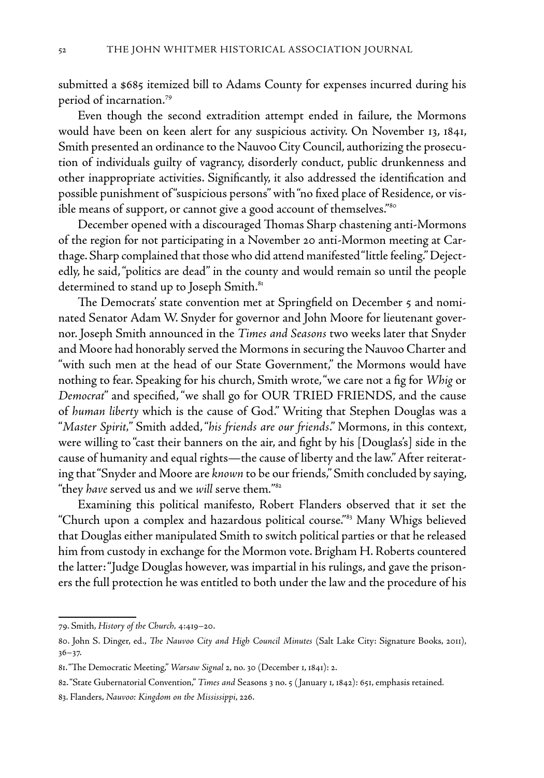submitted a \$685 itemized bill to Adams County for expenses incurred during his period of incarnation.79

Even though the second extradition attempt ended in failure, the Mormons would have been on keen alert for any suspicious activity. On November 13, 1841, Smith presented an ordinance to the Nauvoo City Council, authorizing the prosecution of individuals guilty of vagrancy, disorderly conduct, public drunkenness and other inappropriate activities. Significantly, it also addressed the identification and possible punishment of "suspicious persons" with "no fixed place of Residence, or visible means of support, or cannot give a good account of themselves."<sup>80</sup>

December opened with a discouraged Thomas Sharp chastening anti-Mormons of the region for not participating in a November 20 anti-Mormon meeting at Carthage. Sharp complained that those who did attend manifested "little feeling." Dejectedly, he said, "politics are dead" in the county and would remain so until the people determined to stand up to Joseph Smith.<sup>81</sup>

The Democrats' state convention met at Springfield on December 5 and nominated Senator Adam W. Snyder for governor and John Moore for lieutenant governor. Joseph Smith announced in the *Times and Seasons* two weeks later that Snyder and Moore had honorably served the Mormons in securing the Nauvoo Charter and "with such men at the head of our State Government," the Mormons would have nothing to fear. Speaking for his church, Smith wrote, "we care not a fig for *Whig* or *Democrat*" and specified, "we shall go for OUR TRIED FRIENDS, and the cause of *human liberty* which is the cause of God." Writing that Stephen Douglas was a "*Master Spirit,*" Smith added, "*his friends are our friends*." Mormons, in this context, were willing to "cast their banners on the air, and fight by his [Douglas's] side in the cause of humanity and equal rights—the cause of liberty and the law." After reiterating that "Snyder and Moore are *known* to be our friends," Smith concluded by saying, "they *have* served us and we *will* serve them*.*" 82

Examining this political manifesto, Robert Flanders observed that it set the "Church upon a complex and hazardous political course."<sup>83</sup> Many Whigs believed that Douglas either manipulated Smith to switch political parties or that he released him from custody in exchange for the Mormon vote. Brigham H. Roberts countered the latter: "Judge Douglas however, was impartial in his rulings, and gave the prisoners the full protection he was entitled to both under the law and the procedure of his

<sup>79.</sup> Smith, *History of the Church,* 4:419–20.

<sup>80.</sup> John S. Dinger, ed., *The Nauvoo City and High Council Minutes* (Salt Lake City: Signature Books, 2011), 36–37.

<sup>81. &</sup>quot;The Democratic Meeting," *Warsaw Signal* 2, no. 30 (December 1, 1841): 2.

<sup>82. &</sup>quot;State Gubernatorial Convention," *Times and* Seasons 3 no. 5 ( January 1, 1842): 651, emphasis retained*.*

<sup>83.</sup> Flanders, *Nauvoo: Kingdom on the Mississippi*, 226.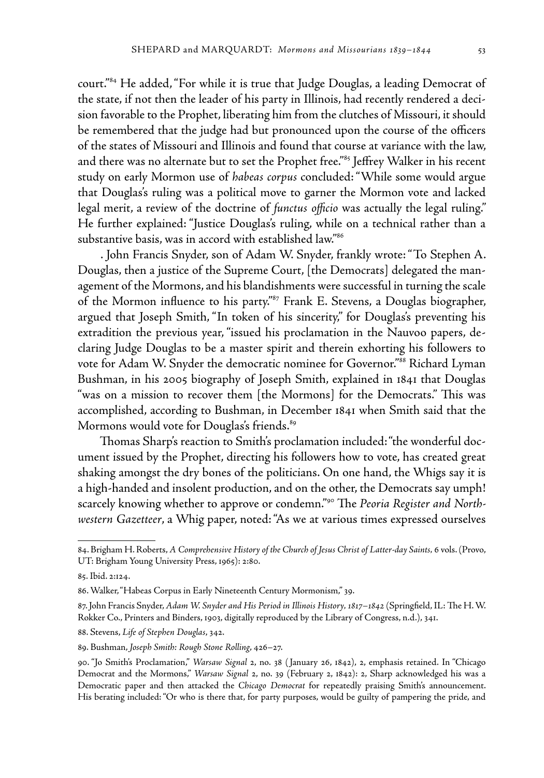court."84 He added, "For while it is true that Judge Douglas, a leading Democrat of the state, if not then the leader of his party in Illinois, had recently rendered a decision favorable to the Prophet, liberating him from the clutches of Missouri, it should be remembered that the judge had but pronounced upon the course of the officers of the states of Missouri and Illinois and found that course at variance with the law, and there was no alternate but to set the Prophet free."<sup>85</sup> Jeffrey Walker in his recent study on early Mormon use of *habeas corpus* concluded: "While some would argue that Douglas's ruling was a political move to garner the Mormon vote and lacked legal merit, a review of the doctrine of *functus officio* was actually the legal ruling." He further explained: "Justice Douglas's ruling, while on a technical rather than a substantive basis, was in accord with established law."<sup>86</sup>

 . John Francis Snyder, son of Adam W. Snyder, frankly wrote: "To Stephen A. Douglas, then a justice of the Supreme Court, [the Democrats] delegated the management of the Mormons, and his blandishments were successful in turning the scale of the Mormon influence to his party."<sup>87</sup> Frank E. Stevens, a Douglas biographer, argued that Joseph Smith, "In token of his sincerity," for Douglas's preventing his extradition the previous year, "issued his proclamation in the Nauvoo papers, declaring Judge Douglas to be a master spirit and therein exhorting his followers to vote for Adam W. Snyder the democratic nominee for Governor."88 Richard Lyman Bushman, in his 2005 biography of Joseph Smith, explained in 1841 that Douglas "was on a mission to recover them [the Mormons] for the Democrats." This was accomplished, according to Bushman, in December 1841 when Smith said that the Mormons would vote for Douglas's friends.<sup>89</sup>

 Thomas Sharp's reaction to Smith's proclamation included: "the wonderful document issued by the Prophet, directing his followers how to vote, has created great shaking amongst the dry bones of the politicians. On one hand, the Whigs say it is a high-handed and insolent production, and on the other, the Democrats say umph! scarcely knowing whether to approve or condemn."90 The *Peoria Register and Northwestern Gazetteer*, a Whig paper, noted: "As we at various times expressed ourselves

<sup>84.</sup> Brigham H. Roberts, *A Comprehensive History of the Church of Jesus Christ of Latter-day Saints*, 6 vols. (Provo, UT: Brigham Young University Press, 1965): 2:80.

<sup>85.</sup> Ibid. 2:124.

<sup>86.</sup> Walker, "Habeas Corpus in Early Nineteenth Century Mormonism," 39.

<sup>87.</sup> John Francis Snyder, *Adam W. Snyder and His Period in Illinois History, 1817–1842* (Springfield, IL: The H. W. Rokker Co., Printers and Binders, 1903, digitally reproduced by the Library of Congress, n.d.), 341.

<sup>88.</sup> Stevens, *Life of Stephen Douglas*, 342.

<sup>89.</sup> Bushman, *Joseph Smith: Rough Stone Rolling*, 426–27.

<sup>90. &</sup>quot;Jo Smith's Proclamation," *Warsaw Signal* 2, no. 38 ( January 26, 1842), 2, emphasis retained. In "Chicago Democrat and the Mormons," *Warsaw Signal* 2, no. 39 (February 2, 1842): 2, Sharp acknowledged his was a Democratic paper and then attacked the *Chicago Democrat* for repeatedly praising Smith's announcement. His berating included: "Or who is there that, for party purposes, would be guilty of pampering the pride, and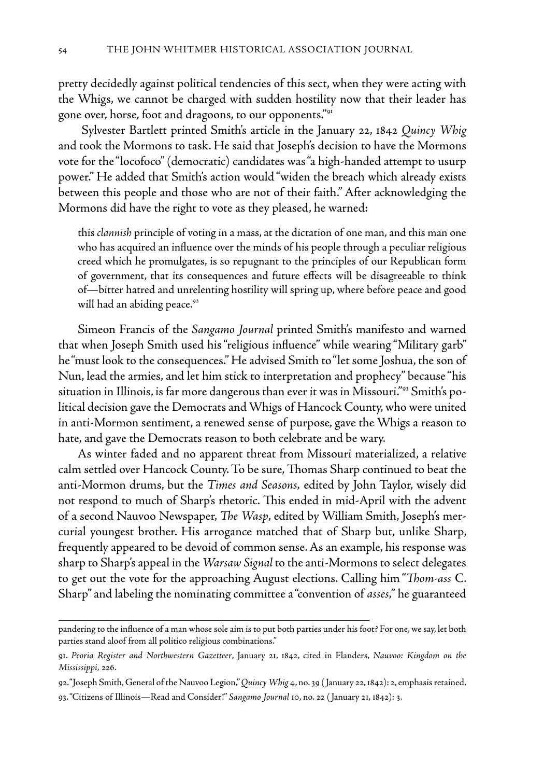pretty decidedly against political tendencies of this sect, when they were acting with the Whigs, we cannot be charged with sudden hostility now that their leader has gone over, horse, foot and dragoons, to our opponents."91

 Sylvester Bartlett printed Smith's article in the January 22, 1842 *Quincy Whig* and took the Mormons to task. He said that Joseph's decision to have the Mormons vote for the "locofoco" (democratic) candidates was "a high-handed attempt to usurp power." He added that Smith's action would "widen the breach which already exists between this people and those who are not of their faith." After acknowledging the Mormons did have the right to vote as they pleased, he warned:

this *clannish* principle of voting in a mass, at the dictation of one man, and this man one who has acquired an influence over the minds of his people through a peculiar religious creed which he promulgates, is so repugnant to the principles of our Republican form of government, that its consequences and future effects will be disagreeable to think of—bitter hatred and unrelenting hostility will spring up, where before peace and good will had an abiding peace.<sup>92</sup>

Simeon Francis of the *Sangamo Journal* printed Smith's manifesto and warned that when Joseph Smith used his "religious influence" while wearing "Military garb" he "must look to the consequences." He advised Smith to "let some Joshua, the son of Nun, lead the armies, and let him stick to interpretation and prophecy" because "his situation in Illinois, is far more dangerous than ever it was in Missouri."93 Smith's political decision gave the Democrats and Whigs of Hancock County, who were united in anti-Mormon sentiment, a renewed sense of purpose, gave the Whigs a reason to hate, and gave the Democrats reason to both celebrate and be wary.

As winter faded and no apparent threat from Missouri materialized, a relative calm settled over Hancock County. To be sure, Thomas Sharp continued to beat the anti-Mormon drums, but the *Times and Seasons,* edited by John Taylor, wisely did not respond to much of Sharp's rhetoric. This ended in mid-April with the advent of a second Nauvoo Newspaper, *The Wasp*, edited by William Smith, Joseph's mercurial youngest brother. His arrogance matched that of Sharp but, unlike Sharp, frequently appeared to be devoid of common sense. As an example, his response was sharp to Sharp's appeal in the *Warsaw Signal* to the anti-Mormons to select delegates to get out the vote for the approaching August elections. Calling him "*Thom-ass* C. Sharp" and labeling the nominating committee a "convention of *asses,"* he guaranteed

pandering to the influence of a man whose sole aim is to put both parties under his foot? For one, we say, let both parties stand aloof from all politico religious combinations."

<sup>91.</sup> *Peoria Register and Northwestern Gazetteer*, January 21, 1842, cited in Flanders, *Nauvoo: Kingdom on the Mississippi,* 226.

<sup>92. &</sup>quot;Joseph Smith, General of the Nauvoo Legion," *Quincy Whig* 4, no. 39 ( January 22, 1842): 2, emphasis retained.

<sup>93. &</sup>quot;Citizens of Illinois—Read and Consider!" *Sangamo Journal* 10, no. 22 ( January 21, 1842): 3.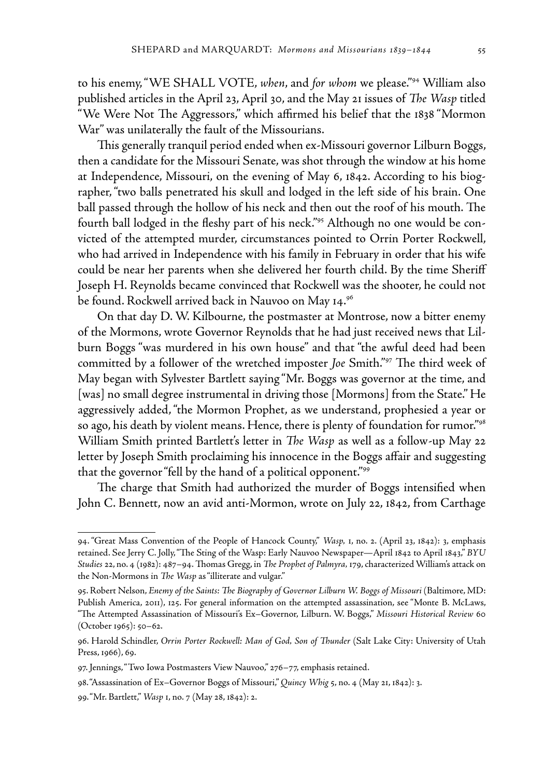to his enemy, "WE SHALL VOTE, *when*, and *for whom* we please."94 William also published articles in the April 23, April 30, and the May 21 issues of *The Wasp* titled "We Were Not The Aggressors," which affirmed his belief that the 1838 "Mormon War" was unilaterally the fault of the Missourians.

This generally tranquil period ended when ex-Missouri governor Lilburn Boggs, then a candidate for the Missouri Senate, was shot through the window at his home at Independence, Missouri, on the evening of May 6, 1842. According to his biographer, "two balls penetrated his skull and lodged in the left side of his brain. One ball passed through the hollow of his neck and then out the roof of his mouth. The fourth ball lodged in the fleshy part of his neck."95 Although no one would be convicted of the attempted murder, circumstances pointed to Orrin Porter Rockwell, who had arrived in Independence with his family in February in order that his wife could be near her parents when she delivered her fourth child. By the time Sheriff Joseph H. Reynolds became convinced that Rockwell was the shooter, he could not be found. Rockwell arrived back in Nauvoo on May 14.96

On that day D. W. Kilbourne, the postmaster at Montrose, now a bitter enemy of the Mormons, wrote Governor Reynolds that he had just received news that Lilburn Boggs "was murdered in his own house" and that "the awful deed had been committed by a follower of the wretched imposter *Joe* Smith."97 The third week of May began with Sylvester Bartlett saying "Mr. Boggs was governor at the time, and [was] no small degree instrumental in driving those [Mormons] from the State." He aggressively added, "the Mormon Prophet, as we understand, prophesied a year or so ago, his death by violent means. Hence, there is plenty of foundation for rumor."98 William Smith printed Bartlett's letter in *The Wasp* as well as a follow-up May 22 letter by Joseph Smith proclaiming his innocence in the Boggs affair and suggesting that the governor "fell by the hand of a political opponent."99

The charge that Smith had authorized the murder of Boggs intensified when John C. Bennett, now an avid anti-Mormon, wrote on July 22, 1842, from Carthage

<sup>94. &</sup>quot;Great Mass Convention of the People of Hancock County," *Wasp,* 1, no. 2. (April 23, 1842): 3, emphasis retained. See Jerry C. Jolly, "The Sting of the Wasp: Early Nauvoo Newspaper—April 1842 to April 1843," *BYU Studies* 22, no. 4 (1982): 487–94. Thomas Gregg, in *The Prophet of Palmyra,* 179, characterized William's attack on the Non-Mormons in *The Wasp* as "illiterate and vulgar."

<sup>95.</sup> Robert Nelson, *Enemy of the Saints: The Biography of Governor Lilburn W. Boggs of Missouri* (Baltimore, MD: Publish America, 2011), 125. For general information on the attempted assassination, see "Monte B. McLaws, "The Attempted Assassination of Missouri's Ex–Governor, Lilburn. W. Boggs," *Missouri Historical Review* 60 (October 1965): 50–62.

<sup>96.</sup> Harold Schindler, *Orrin Porter Rockwell: Man of God, Son of Thunder* (Salt Lake City: University of Utah Press, 1966), 69.

<sup>97.</sup> Jennings, "Two Iowa Postmasters View Nauvoo," 276-77, emphasis retained.

<sup>98. &</sup>quot;Assassination of Ex–Governor Boggs of Missouri," *Quincy Whig* 5, no. 4 (May 21, 1842): 3.

<sup>99. &</sup>quot;Mr. Bartlett," *Wasp* 1, no. 7 (May 28, 1842): 2.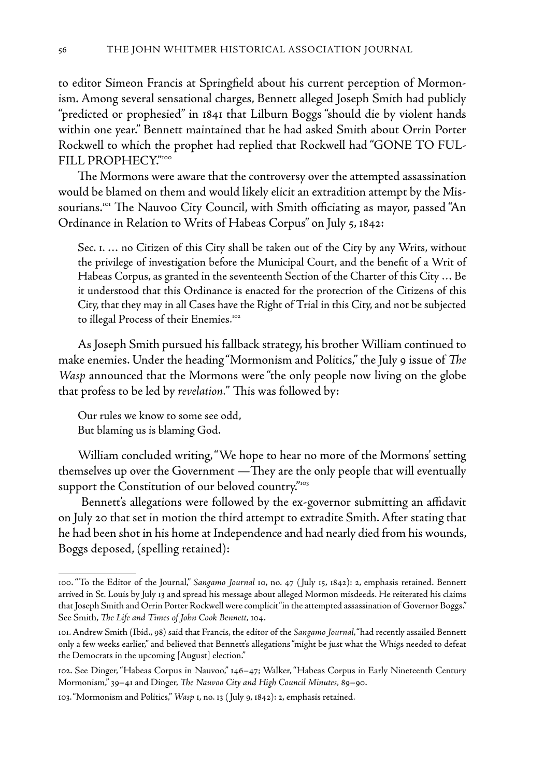to editor Simeon Francis at Springfield about his current perception of Mormonism. Among several sensational charges, Bennett alleged Joseph Smith had publicly "predicted or prophesied" in 1841 that Lilburn Boggs "should die by violent hands within one year." Bennett maintained that he had asked Smith about Orrin Porter Rockwell to which the prophet had replied that Rockwell had "GONE TO FUL-FILL PROPHECY."100

The Mormons were aware that the controversy over the attempted assassination would be blamed on them and would likely elicit an extradition attempt by the Missourians.101 The Nauvoo City Council, with Smith officiating as mayor, passed "An Ordinance in Relation to Writs of Habeas Corpus" on July 5, 1842:

Sec. 1. … no Citizen of this City shall be taken out of the City by any Writs, without the privilege of investigation before the Municipal Court, and the benefit of a Writ of Habeas Corpus, as granted in the seventeenth Section of the Charter of this City … Be it understood that this Ordinance is enacted for the protection of the Citizens of this City, that they may in all Cases have the Right of Trial in this City, and not be subjected to illegal Process of their Enemies.<sup>102</sup>

As Joseph Smith pursued his fallback strategy, his brother William continued to make enemies. Under the heading "Mormonism and Politics," the July 9 issue of *The Wasp* announced that the Mormons were "the only people now living on the globe that profess to be led by *revelation.*" This was followed by:

Our rules we know to some see odd, But blaming us is blaming God.

William concluded writing, "We hope to hear no more of the Mormons' setting themselves up over the Government —They are the only people that will eventually support the Constitution of our beloved country."103

Bennett's allegations were followed by the ex-governor submitting an affidavit on July 20 that set in motion the third attempt to extradite Smith. After stating that he had been shot in his home at Independence and had nearly died from his wounds, Boggs deposed, (spelling retained):

<sup>100. &</sup>quot;To the Editor of the Journal," *Sangamo Journal* 10, no. 47 ( July 15, 1842): 2, emphasis retained. Bennett arrived in St. Louis by July 13 and spread his message about alleged Mormon misdeeds. He reiterated his claims that Joseph Smith and Orrin Porter Rockwell were complicit "in the attempted assassination of Governor Boggs." See Smith, *The Life and Times of John Cook Bennett,* 104.

<sup>101.</sup> Andrew Smith (Ibid., 98) said that Francis, the editor of the *Sangamo Journal*, "had recently assailed Bennett only a few weeks earlier," and believed that Bennett's allegations "might be just what the Whigs needed to defeat the Democrats in the upcoming [August] election."

<sup>102.</sup> See Dinger, "Habeas Corpus in Nauvoo," 146–47; Walker, "Habeas Corpus in Early Nineteenth Century Mormonism," 39–41 and Dinger, *The Nauvoo City and High Council Minutes,* 89–90.

<sup>103. &</sup>quot;Mormonism and Politics," *Wasp* 1, no. 13 ( July 9, 1842): 2, emphasis retained.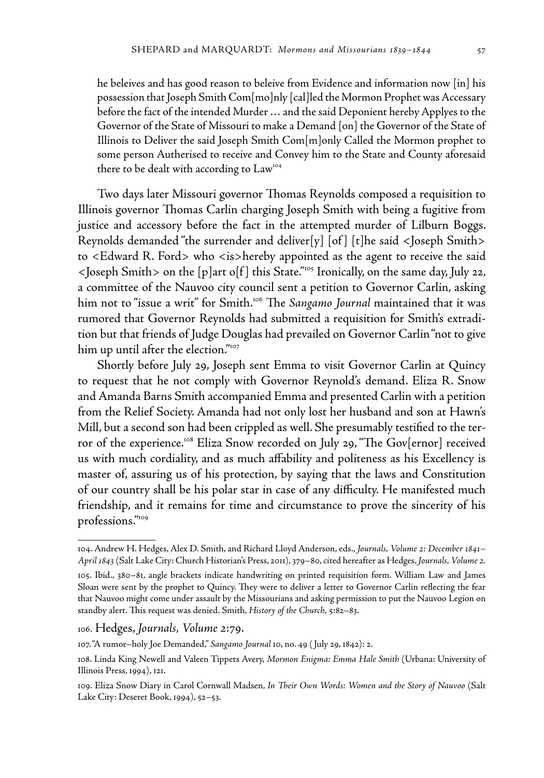he beleives and has good reason to beleive from Evidence and information now [in] his possession that Joseph Smith Com[mo]nly [cal]led the Mormon Prophet was Accessary before the fact of the intended Murder … and the said Deponient hereby Applyes to the Governor of the State of Missouri to make a Demand [on] the Governor of the State of Illinois to Deliver the said Joseph Smith Com[m]only Called the Mormon prophet to some person Autherised to receive and Convey him to the State and County aforesaid there to be dealt with according to Law<sup>104</sup>

Two days later Missouri governor Thomas Reynolds composed a requisition to Illinois governor Thomas Carlin charging Joseph Smith with being a fugitive from justice and accessory before the fact in the attempted murder of Lilburn Boggs. Reynolds demanded "the surrender and deliver[y] [of ] [t]he said <Joseph Smith> to <Edward R. Ford> who <is>hereby appointed as the agent to receive the said <Joseph Smith> on the [p]art o[f ] this State."105 Ironically, on the same day, July 22, a committee of the Nauvoo city council sent a petition to Governor Carlin, asking him not to "issue a writ" for Smith.<sup>106</sup> The Sangamo Journal maintained that it was rumored that Governor Reynolds had submitted a requisition for Smith's extradition but that friends of Judge Douglas had prevailed on Governor Carlin "not to give him up until after the election."107

Shortly before July 29, Joseph sent Emma to visit Governor Carlin at Quincy to request that he not comply with Governor Reynold's demand. Eliza R. Snow and Amanda Barns Smith accompanied Emma and presented Carlin with a petition from the Relief Society. Amanda had not only lost her husband and son at Hawn's Mill, but a second son had been crippled as well. She presumably testified to the terror of the experience.<sup>108</sup> Eliza Snow recorded on July 29, "The Gov[ernor] received us with much cordiality, and as much affability and politeness as his Excellency is master of, assuring us of his protection, by saying that the laws and Constitution of our country shall be his polar star in case of any difficulty. He manifested much friendship, and it remains for time and circumstance to prove the sincerity of his professions."109

<sup>104.</sup> Andrew H. Hedges, Alex D. Smith, and Richard Lloyd Anderson, eds., *Journals, Volume 2: December 1841– April 1843* (Salt Lake City: Church Historian's Press, 2011), 379–80, cited hereafter as Hedges, *Journals, Volume 2.*

<sup>105.</sup> Ibid., 380–81, angle brackets indicate handwriting on printed requisition form. William Law and James Sloan were sent by the prophet to Quincy. They were to deliver a letter to Governor Carlin reflecting the fear that Nauvoo might come under assault by the Missourians and asking permission to put the Nauvoo Legion on standby alert. This request was denied. Smith, *History of the Church*, 5:82–83.

<sup>106.</sup> Hedges, *Journals, Volume 2*:79.

<sup>107. &</sup>quot;A rumor–holy Joe Demanded," *Sangamo Journal* 10, no. 49 ( July 29, 1842): 2.

<sup>108.</sup> Linda King Newell and Valeen Tippets Avery, *Mormon Enigma: Emma Hale Smith* (Urbana: University of Illinois Press, 1994), 121.

<sup>109.</sup> Eliza Snow Diary in Carol Cornwall Madsen, *In Their Own Words: Women and the Story of Nauvoo* (Salt Lake City: Deseret Book, 1994), 52–53.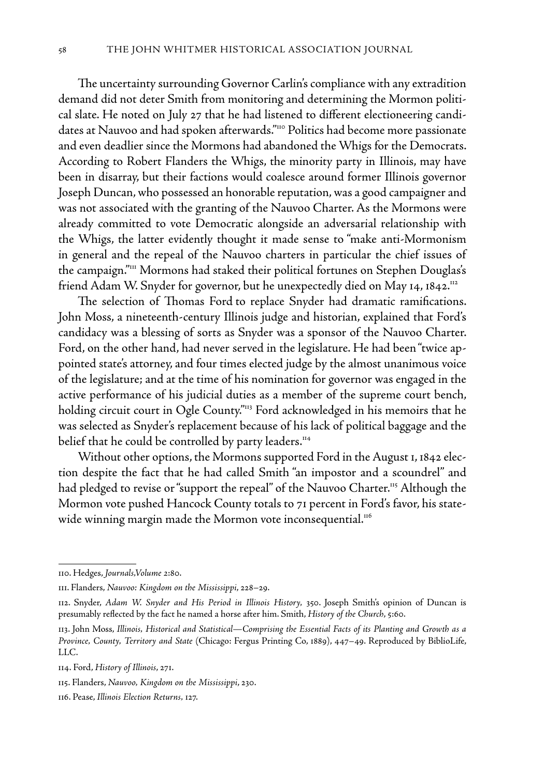The uncertainty surrounding Governor Carlin's compliance with any extradition demand did not deter Smith from monitoring and determining the Mormon political slate. He noted on July 27 that he had listened to different electioneering candidates at Nauvoo and had spoken afterwards."110 Politics had become more passionate and even deadlier since the Mormons had abandoned the Whigs for the Democrats. According to Robert Flanders the Whigs, the minority party in Illinois, may have been in disarray, but their factions would coalesce around former Illinois governor Joseph Duncan, who possessed an honorable reputation, was a good campaigner and was not associated with the granting of the Nauvoo Charter. As the Mormons were already committed to vote Democratic alongside an adversarial relationship with the Whigs, the latter evidently thought it made sense to "make anti-Mormonism in general and the repeal of the Nauvoo charters in particular the chief issues of the campaign."<sup>III</sup> Mormons had staked their political fortunes on Stephen Douglas's friend Adam W. Snyder for governor, but he unexpectedly died on May 14, 1842.<sup>112</sup>

The selection of Thomas Ford to replace Snyder had dramatic ramifications. John Moss, a nineteenth-century Illinois judge and historian, explained that Ford's candidacy was a blessing of sorts as Snyder was a sponsor of the Nauvoo Charter. Ford, on the other hand, had never served in the legislature. He had been "twice appointed state's attorney, and four times elected judge by the almost unanimous voice of the legislature; and at the time of his nomination for governor was engaged in the active performance of his judicial duties as a member of the supreme court bench, holding circuit court in Ogle County."<sup>113</sup> Ford acknowledged in his memoirs that he was selected as Snyder's replacement because of his lack of political baggage and the belief that he could be controlled by party leaders.<sup>114</sup>

Without other options, the Mormons supported Ford in the August 1, 1842 election despite the fact that he had called Smith "an impostor and a scoundrel" and had pledged to revise or "support the repeal" of the Nauvoo Charter.<sup>115</sup> Although the Mormon vote pushed Hancock County totals to 71 percent in Ford's favor, his statewide winning margin made the Mormon vote inconsequential.<sup>116</sup>

<sup>110.</sup> Hedges, *Journals,Volume 2*:80.

<sup>111.</sup> Flanders, *Nauvoo: Kingdom on the Mississippi*, 228–29.

<sup>112.</sup> Snyder, *Adam W. Snyder and His Period in Illinois History,* 350. Joseph Smith's opinion of Duncan is presumably reflected by the fact he named a horse after him. Smith, *History of the Church*, 5:60.

<sup>113.</sup> John Moss, *Illinois, Historical and Statistical—Comprising the Essential Facts of its Planting and Growth as a Province, County, Territory and State* (Chicago: Fergus Printing Co, 1889), 447–49. Reproduced by BiblioLife, LLC.

<sup>114.</sup> Ford, *History of Illinois*, 271.

<sup>115.</sup> Flanders, *Nauvoo, Kingdom on the Mississippi*, 230.

<sup>116.</sup> Pease, *Illinois Election Returns,* 127.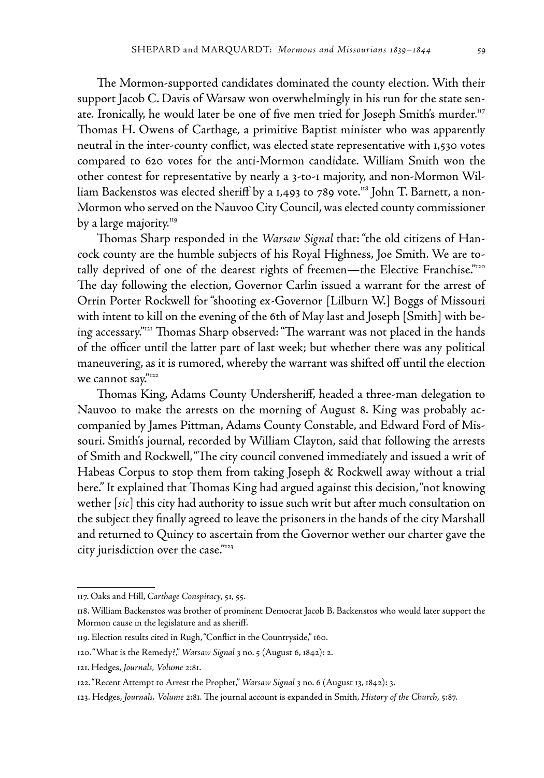The Mormon-supported candidates dominated the county election. With their support Jacob C. Davis of Warsaw won overwhelmingly in his run for the state senate. Ironically, he would later be one of five men tried for Joseph Smith's murder.<sup>117</sup> Thomas H. Owens of Carthage, a primitive Baptist minister who was apparently neutral in the inter-county conflict, was elected state representative with 1,530 votes compared to 620 votes for the anti-Mormon candidate. William Smith won the other contest for representative by nearly a 3-to-1 majority, and non-Mormon William Backenstos was elected sheriff by a 1,493 to 789 vote.<sup>118</sup> John T. Barnett, a non-Mormon who served on the Nauvoo City Council, was elected county commissioner by a large majority.<sup>119</sup>

Thomas Sharp responded in the *Warsaw Signal* that: "the old citizens of Hancock county are the humble subjects of his Royal Highness, Joe Smith. We are totally deprived of one of the dearest rights of freemen—the Elective Franchise."120 The day following the election, Governor Carlin issued a warrant for the arrest of Orrin Porter Rockwell for "shooting ex-Governor [Lilburn W.] Boggs of Missouri with intent to kill on the evening of the 6th of May last and Joseph [Smith] with being accessary."121 Thomas Sharp observed: "The warrant was not placed in the hands of the officer until the latter part of last week; but whether there was any political maneuvering, as it is rumored, whereby the warrant was shifted off until the election we cannot say."<sup>122</sup>

Thomas King, Adams County Undersheriff, headed a three-man delegation to Nauvoo to make the arrests on the morning of August 8. King was probably accompanied by James Pittman, Adams County Constable, and Edward Ford of Missouri. Smith's journal, recorded by William Clayton, said that following the arrests of Smith and Rockwell, "The city council convened immediately and issued a writ of Habeas Corpus to stop them from taking Joseph & Rockwell away without a trial here." It explained that Thomas King had argued against this decision, "not knowing wether [*sic*] this city had authority to issue such writ but after much consultation on the subject they finally agreed to leave the prisoners in the hands of the city Marshall and returned to Quincy to ascertain from the Governor wether our charter gave the city jurisdiction over the case."123

<sup>117.</sup> Oaks and Hill, *Carthage Conspiracy*, 51, 55.

<sup>118.</sup> William Backenstos was brother of prominent Democrat Jacob B. Backenstos who would later support the Mormon cause in the legislature and as sheriff.

<sup>119.</sup> Election results cited in Rugh, "Conflict in the Countryside," 160.

<sup>120. &</sup>quot;What is the Remedy?," *Warsaw Signal* 3 no. 5 (August 6, 1842): 2.

<sup>121.</sup> Hedges, *Journals, Volume 2*:81.

<sup>122. &</sup>quot;Recent Attempt to Arrest the Prophet," *Warsaw Signal* 3 no. 6 (August 13, 1842): 3.

<sup>123.</sup> Hedges, *Journals, Volume 2*:81. The journal account is expanded in Smith, *History of the Church*, 5:87.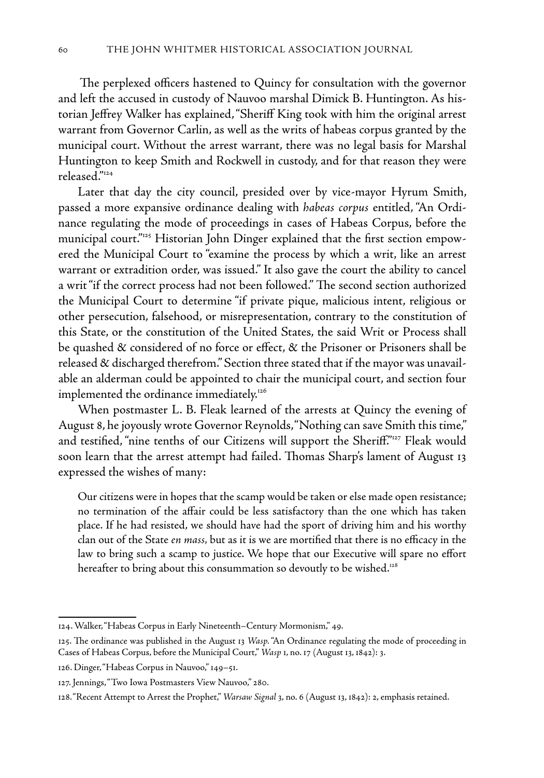The perplexed officers hastened to Quincy for consultation with the governor and left the accused in custody of Nauvoo marshal Dimick B. Huntington. As historian Jeffrey Walker has explained, "Sheriff King took with him the original arrest warrant from Governor Carlin, as well as the writs of habeas corpus granted by the municipal court. Without the arrest warrant, there was no legal basis for Marshal Huntington to keep Smith and Rockwell in custody, and for that reason they were released."124

Later that day the city council, presided over by vice-mayor Hyrum Smith, passed a more expansive ordinance dealing with *habeas corpus* entitled, "An Ordinance regulating the mode of proceedings in cases of Habeas Corpus, before the municipal court."125 Historian John Dinger explained that the first section empowered the Municipal Court to "examine the process by which a writ, like an arrest warrant or extradition order, was issued." It also gave the court the ability to cancel a writ "if the correct process had not been followed." The second section authorized the Municipal Court to determine "if private pique, malicious intent, religious or other persecution, falsehood, or misrepresentation, contrary to the constitution of this State, or the constitution of the United States, the said Writ or Process shall be quashed & considered of no force or effect, & the Prisoner or Prisoners shall be released & discharged therefrom." Section three stated that if the mayor was unavailable an alderman could be appointed to chair the municipal court, and section four implemented the ordinance immediately.<sup>126</sup>

When postmaster L. B. Fleak learned of the arrests at Quincy the evening of August 8, he joyously wrote Governor Reynolds, "Nothing can save Smith this time," and testified, "nine tenths of our Citizens will support the Sheriff."<sup>127</sup> Fleak would soon learn that the arrest attempt had failed. Thomas Sharp's lament of August 13 expressed the wishes of many:

Our citizens were in hopes that the scamp would be taken or else made open resistance; no termination of the affair could be less satisfactory than the one which has taken place. If he had resisted, we should have had the sport of driving him and his worthy clan out of the State *en mass,* but as it is we are mortified that there is no efficacy in the law to bring such a scamp to justice. We hope that our Executive will spare no effort hereafter to bring about this consummation so devoutly to be wished.<sup>128</sup>

<sup>124.</sup> Walker, "Habeas Corpus in Early Nineteenth–Century Mormonism," 49.

<sup>125.</sup> The ordinance was published in the August 13 *Wasp.* "An Ordinance regulating the mode of proceeding in Cases of Habeas Corpus, before the Municipal Court," *Wasp* 1, no. 17 (August 13, 1842): 3.

<sup>126.</sup> Dinger, "Habeas Corpus in Nauvoo," 149–51.

<sup>127.</sup> Jennings, "Two Iowa Postmasters View Nauvoo," 280.

<sup>128. &</sup>quot;Recent Attempt to Arrest the Prophet," *Warsaw Signal* 3, no. 6 (August 13, 1842): 2, emphasis retained.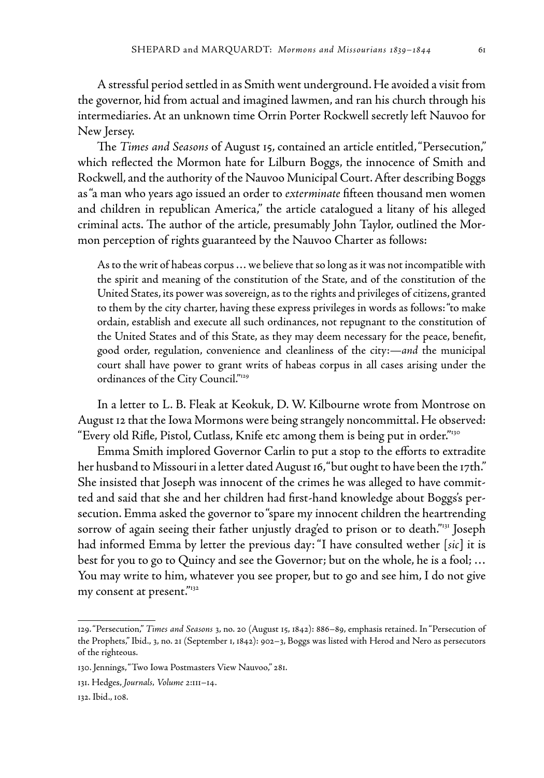A stressful period settled in as Smith went underground. He avoided a visit from the governor, hid from actual and imagined lawmen, and ran his church through his intermediaries. At an unknown time Orrin Porter Rockwell secretly left Nauvoo for New Jersey.

The *Times and Seasons* of August 15, contained an article entitled, "Persecution," which reflected the Mormon hate for Lilburn Boggs, the innocence of Smith and Rockwell, and the authority of the Nauvoo Municipal Court. After describing Boggs as "a man who years ago issued an order to *exterminate* fifteen thousand men women and children in republican America," the article catalogued a litany of his alleged criminal acts. The author of the article, presumably John Taylor, outlined the Mormon perception of rights guaranteed by the Nauvoo Charter as follows:

As to the writ of habeas corpus … we believe that so long as it was not incompatible with the spirit and meaning of the constitution of the State, and of the constitution of the United States, its power was sovereign, as to the rights and privileges of citizens, granted to them by the city charter, having these express privileges in words as follows: "to make ordain, establish and execute all such ordinances, not repugnant to the constitution of the United States and of this State, as they may deem necessary for the peace, benefit, good order, regulation, convenience and cleanliness of the city:—*and* the municipal court shall have power to grant writs of habeas corpus in all cases arising under the ordinances of the City Council."<sup>129</sup>

In a letter to L. B. Fleak at Keokuk, D. W. Kilbourne wrote from Montrose on August 12 that the Iowa Mormons were being strangely noncommittal. He observed: "Every old Rifle, Pistol, Cutlass, Knife etc among them is being put in order."130

Emma Smith implored Governor Carlin to put a stop to the efforts to extradite her husband to Missouri in a letter dated August 16, "but ought to have been the 17th." She insisted that Joseph was innocent of the crimes he was alleged to have committed and said that she and her children had first-hand knowledge about Boggs's persecution. Emma asked the governor to "spare my innocent children the heartrending sorrow of again seeing their father unjustly draged to prison or to death."<sup>131</sup> Joseph had informed Emma by letter the previous day: "I have consulted wether [*sic***]** it is best for you to go to Quincy and see the Governor; but on the whole, he is a fool; … You may write to him, whatever you see proper, but to go and see him, I do not give my consent at present."<sup>132</sup>

<sup>129. &</sup>quot;Persecution," *Times and Seasons* 3, no. 20 (August 15, 1842): 886–89, emphasis retained. In "Persecution of the Prophets," Ibid., 3, no. 21 (September 1, 1842): 902–3, Boggs was listed with Herod and Nero as persecutors of the righteous.

<sup>130.</sup> Jennings, "Two Iowa Postmasters View Nauvoo," 281.

<sup>131.</sup> Hedges, *Journals, Volume 2*:111–14.

<sup>132.</sup> Ibid., 108.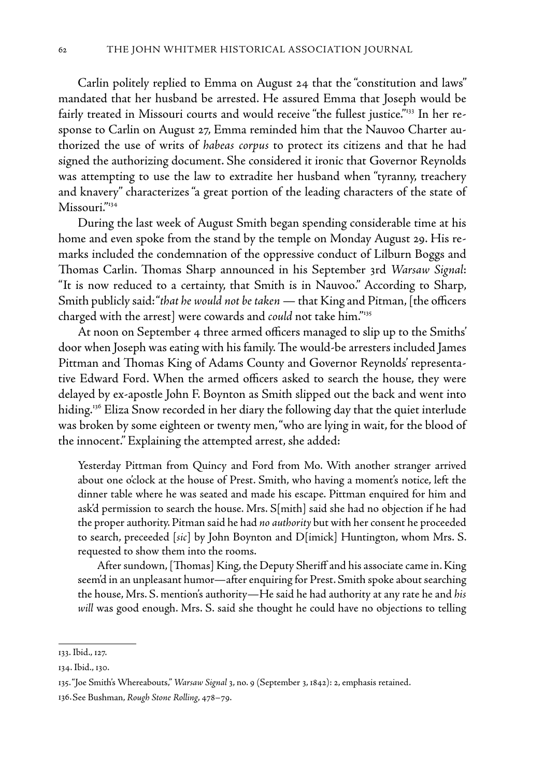Carlin politely replied to Emma on August 24 that the "constitution and laws" mandated that her husband be arrested. He assured Emma that Joseph would be fairly treated in Missouri courts and would receive "the fullest justice."<sup>133</sup> In her response to Carlin on August 27, Emma reminded him that the Nauvoo Charter authorized the use of writs of *habeas corpus* to protect its citizens and that he had signed the authorizing document. She considered it ironic that Governor Reynolds was attempting to use the law to extradite her husband when "tyranny, treachery and knavery" characterizes "a great portion of the leading characters of the state of Missouri."<sup>134</sup>

During the last week of August Smith began spending considerable time at his home and even spoke from the stand by the temple on Monday August 29. His remarks included the condemnation of the oppressive conduct of Lilburn Boggs and Thomas Carlin. Thomas Sharp announced in his September 3rd *Warsaw Signal*: "It is now reduced to a certainty, that Smith is in Nauvoo." According to Sharp, Smith publicly said: "*that he would not be taken* — that King and Pitman, [the officers charged with the arrest] were cowards and *could* not take him."<sup>135</sup>

At noon on September 4 three armed officers managed to slip up to the Smiths' door when Joseph was eating with his family. The would-be arresters included James Pittman and Thomas King of Adams County and Governor Reynolds' representative Edward Ford. When the armed officers asked to search the house, they were delayed by ex-apostle John F. Boynton as Smith slipped out the back and went into hiding.136 Eliza Snow recorded in her diary the following day that the quiet interlude was broken by some eighteen or twenty men, "who are lying in wait, for the blood of the innocent." Explaining the attempted arrest, she added:

Yesterday Pittman from Quincy and Ford from Mo. With another stranger arrived about one o'clock at the house of Prest. Smith, who having a moment's notice, left the dinner table where he was seated and made his escape. Pittman enquired for him and ask'd permission to search the house. Mrs. S[mith] said she had no objection if he had the proper authority. Pitman said he had *no authority* but with her consent he proceeded to search, preceeded [*sic*] by John Boynton and D[imick] Huntington, whom Mrs. S. requested to show them into the rooms.

 After sundown, [Thomas] King, the Deputy Sheriff and his associate came in. King seem'd in an unpleasant humor—after enquiring for Prest. Smith spoke about searching the house, Mrs. S. mention's authority—He said he had authority at any rate he and *his will* was good enough. Mrs. S. said she thought he could have no objections to telling

<sup>133.</sup> Ibid., 127.

<sup>134.</sup> Ibid., 130.

<sup>135. &</sup>quot;Joe Smith's Whereabouts," *Warsaw Signal* 3, no. 9 (September 3, 1842): 2, emphasis retained.

<sup>136.</sup>See Bushman, *Rough Stone Rolling*, 478–79.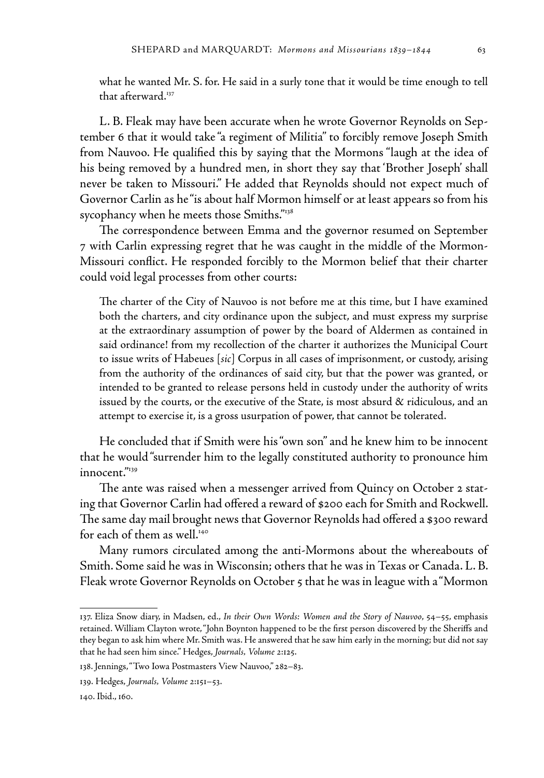what he wanted Mr. S. for. He said in a surly tone that it would be time enough to tell that afterward.<sup>137</sup>

L. B. Fleak may have been accurate when he wrote Governor Reynolds on September 6 that it would take "a regiment of Militia" to forcibly remove Joseph Smith from Nauvoo. He qualified this by saying that the Mormons "laugh at the idea of his being removed by a hundred men, in short they say that 'Brother Joseph' shall never be taken to Missouri." He added that Reynolds should not expect much of Governor Carlin as he "is about half Mormon himself or at least appears so from his sycophancy when he meets those Smiths."<sup>138</sup>

The correspondence between Emma and the governor resumed on September 7 with Carlin expressing regret that he was caught in the middle of the Mormon-Missouri conflict. He responded forcibly to the Mormon belief that their charter could void legal processes from other courts:

The charter of the City of Nauvoo is not before me at this time, but I have examined both the charters, and city ordinance upon the subject, and must express my surprise at the extraordinary assumption of power by the board of Aldermen as contained in said ordinance! from my recollection of the charter it authorizes the Municipal Court to issue writs of Habeues [*sic*] Corpus in all cases of imprisonment, or custody, arising from the authority of the ordinances of said city, but that the power was granted, or intended to be granted to release persons held in custody under the authority of writs issued by the courts, or the executive of the State, is most absurd & ridiculous, and an attempt to exercise it, is a gross usurpation of power, that cannot be tolerated.

He concluded that if Smith were his "own son" and he knew him to be innocent that he would "surrender him to the legally constituted authority to pronounce him innocent."139

The ante was raised when a messenger arrived from Quincy on October 2 stating that Governor Carlin had offered a reward of \$200 each for Smith and Rockwell. The same day mail brought news that Governor Reynolds had offered a \$300 reward for each of them as well.<sup>140</sup>

Many rumors circulated among the anti-Mormons about the whereabouts of Smith. Some said he was in Wisconsin; others that he was in Texas or Canada. L. B. Fleak wrote Governor Reynolds on October 5 that he was in league with a "Mormon

<sup>137.</sup> Eliza Snow diary, in Madsen, ed., *In their Own Words: Women and the Story of Nauvoo*, 54–55, emphasis retained. William Clayton wrote, "John Boynton happened to be the first person discovered by the Sheriffs and they began to ask him where Mr. Smith was. He answered that he saw him early in the morning; but did not say that he had seen him since." Hedges, *Journals, Volume 2*:125.

<sup>138.</sup> Jennings, "Two Iowa Postmasters View Nauvoo," 282–83.

<sup>139.</sup> Hedges, *Journals, Volume 2*:151–53.

<sup>140.</sup> Ibid., 160.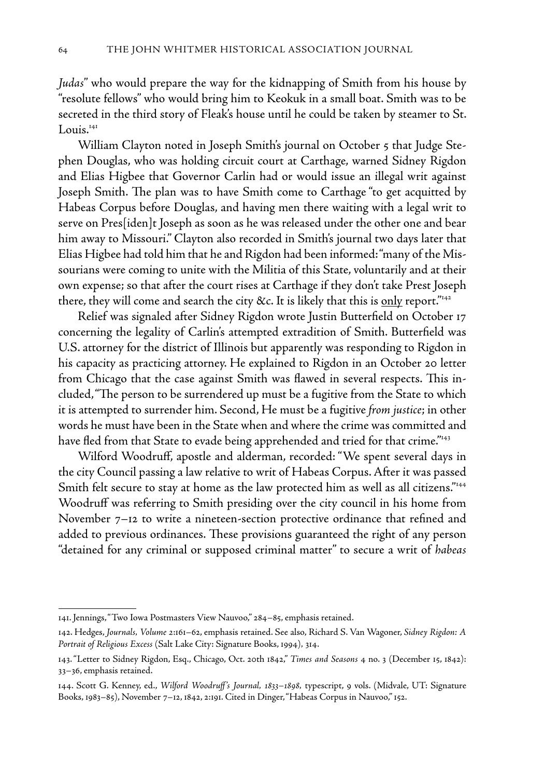*Judas*" who would prepare the way for the kidnapping of Smith from his house by "resolute fellows" who would bring him to Keokuk in a small boat. Smith was to be secreted in the third story of Fleak's house until he could be taken by steamer to St.  $L$ ouis. $141$ 

William Clayton noted in Joseph Smith's journal on October 5 that Judge Stephen Douglas, who was holding circuit court at Carthage, warned Sidney Rigdon and Elias Higbee that Governor Carlin had or would issue an illegal writ against Joseph Smith. The plan was to have Smith come to Carthage "to get acquitted by Habeas Corpus before Douglas, and having men there waiting with a legal writ to serve on Pres[iden]t Joseph as soon as he was released under the other one and bear him away to Missouri." Clayton also recorded in Smith's journal two days later that Elias Higbee had told him that he and Rigdon had been informed: "many of the Missourians were coming to unite with the Militia of this State, voluntarily and at their own expense; so that after the court rises at Carthage if they don't take Prest Joseph there, they will come and search the city &c. It is likely that this is only report."<sup>142</sup>

Relief was signaled after Sidney Rigdon wrote Justin Butterfield on October 17 concerning the legality of Carlin's attempted extradition of Smith. Butterfield was U.S. attorney for the district of Illinois but apparently was responding to Rigdon in his capacity as practicing attorney. He explained to Rigdon in an October 20 letter from Chicago that the case against Smith was flawed in several respects. This included, "The person to be surrendered up must be a fugitive from the State to which it is attempted to surrender him. Second, He must be a fugitive *from justice*; in other words he must have been in the State when and where the crime was committed and have fled from that State to evade being apprehended and tried for that crime."<sup>143</sup>

Wilford Woodruff, apostle and alderman, recorded: "We spent several days in the city Council passing a law relative to writ of Habeas Corpus. After it was passed Smith felt secure to stay at home as the law protected him as well as all citizens."<sup>144</sup> Woodruff was referring to Smith presiding over the city council in his home from November 7–12 to write a nineteen-section protective ordinance that refined and added to previous ordinances. These provisions guaranteed the right of any person "detained for any criminal or supposed criminal matter" to secure a writ of *habeas* 

<sup>141.</sup> Jennings, "Two Iowa Postmasters View Nauvoo," 284–85, emphasis retained.

<sup>142.</sup> Hedges, *Journals, Volume 2*:161–62, emphasis retained. See also, Richard S. Van Wagoner, *Sidney Rigdon: A Portrait of Religious Excess* (Salt Lake City: Signature Books, 1994)*,* 314.

<sup>143. &</sup>quot;Letter to Sidney Rigdon, Esq., Chicago, Oct. 20th 1842," *Times and Seasons* 4 no. 3 (December 15, 1842): 33–36, emphasis retained.

<sup>144.</sup> Scott G. Kenney, ed., *Wilford Woodruff's Journal, 1833–1898,* typescript, 9 vols. (Midvale, UT: Signature Books, 1983–85), November 7–12, 1842, 2:191. Cited in Dinger, "Habeas Corpus in Nauvoo," 152.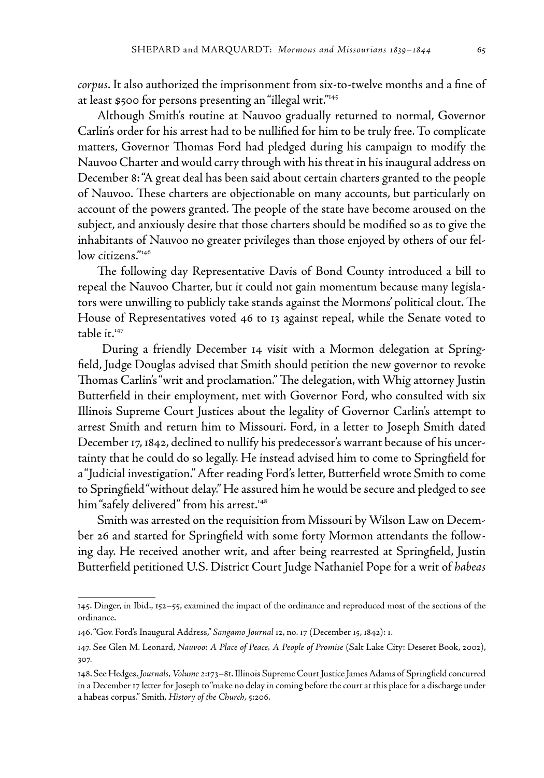*corpus*. It also authorized the imprisonment from six-to-twelve months and a fine of at least \$500 for persons presenting an "illegal writ."145

Although Smith's routine at Nauvoo gradually returned to normal, Governor Carlin's order for his arrest had to be nullified for him to be truly free. To complicate matters, Governor Thomas Ford had pledged during his campaign to modify the Nauvoo Charter and would carry through with his threat in his inaugural address on December 8: "A great deal has been said about certain charters granted to the people of Nauvoo. These charters are objectionable on many accounts, but particularly on account of the powers granted. The people of the state have become aroused on the subject, and anxiously desire that those charters should be modified so as to give the inhabitants of Nauvoo no greater privileges than those enjoyed by others of our fellow citizens."<sup>146</sup>

The following day Representative Davis of Bond County introduced a bill to repeal the Nauvoo Charter, but it could not gain momentum because many legislators were unwilling to publicly take stands against the Mormons' political clout. The House of Representatives voted 46 to 13 against repeal, while the Senate voted to table it.<sup>147</sup>

 During a friendly December 14 visit with a Mormon delegation at Springfield, Judge Douglas advised that Smith should petition the new governor to revoke Thomas Carlin's "writ and proclamation." The delegation, with Whig attorney Justin Butterfield in their employment, met with Governor Ford, who consulted with six Illinois Supreme Court Justices about the legality of Governor Carlin's attempt to arrest Smith and return him to Missouri. Ford, in a letter to Joseph Smith dated December 17, 1842, declined to nullify his predecessor's warrant because of his uncertainty that he could do so legally. He instead advised him to come to Springfield for a "Judicial investigation." After reading Ford's letter, Butterfield wrote Smith to come to Springfield "without delay." He assured him he would be secure and pledged to see him "safely delivered" from his arrest.<sup>148</sup>

Smith was arrested on the requisition from Missouri by Wilson Law on December 26 and started for Springfield with some forty Mormon attendants the following day. He received another writ, and after being rearrested at Springfield, Justin Butterfield petitioned U.S. District Court Judge Nathaniel Pope for a writ of *habeas* 

<sup>145.</sup> Dinger, in Ibid., 152–55, examined the impact of the ordinance and reproduced most of the sections of the ordinance.

<sup>146. &</sup>quot;Gov. Ford's Inaugural Address," *Sangamo Journal* 12, no. 17 (December 15, 1842): 1.

<sup>147.</sup> See Glen M. Leonard, *Nauvoo: A Place of Peace, A People of Promise* (Salt Lake City: Deseret Book, 2002), 307.

<sup>148.</sup> See Hedges, *Journals, Volume 2*:173–81. Illinois Supreme Court Justice James Adams of Springfield concurred in a December 17 letter for Joseph to "make no delay in coming before the court at this place for a discharge under a habeas corpus." Smith, *History of the Church*, 5:206.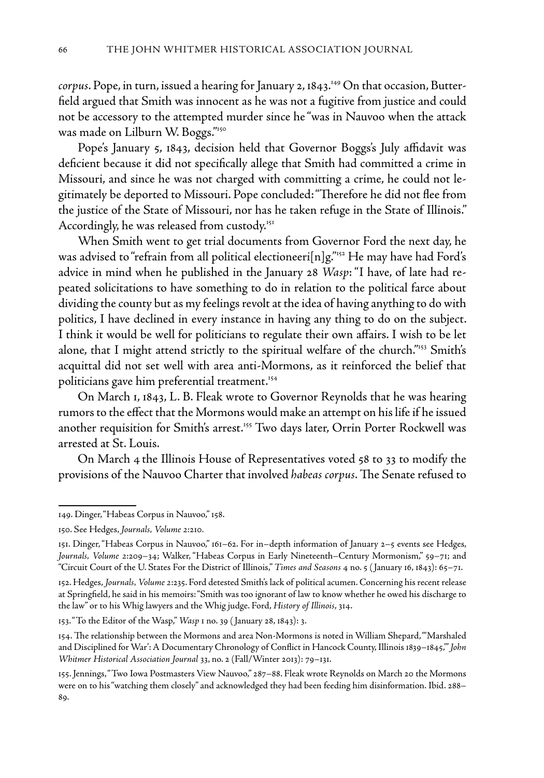*corpus*. Pope, in turn, issued a hearing for January 2, 1843.<sup>149</sup> On that occasion, Butterfield argued that Smith was innocent as he was not a fugitive from justice and could not be accessory to the attempted murder since he "was in Nauvoo when the attack was made on Lilburn W. Boggs."150

Pope's January 5, 1843, decision held that Governor Boggs's July affidavit was deficient because it did not specifically allege that Smith had committed a crime in Missouri, and since he was not charged with committing a crime, he could not legitimately be deported to Missouri. Pope concluded: "Therefore he did not flee from the justice of the State of Missouri, nor has he taken refuge in the State of Illinois." Accordingly, he was released from custody.<sup>151</sup>

When Smith went to get trial documents from Governor Ford the next day, he was advised to "refrain from all political electioneeri<sup>[n]g."152</sup> He may have had Ford's advice in mind when he published in the January 28 *Wasp*: "I have, of late had repeated solicitations to have something to do in relation to the political farce about dividing the county but as my feelings revolt at the idea of having anything to do with politics, I have declined in every instance in having any thing to do on the subject. I think it would be well for politicians to regulate their own affairs. I wish to be let alone, that I might attend strictly to the spiritual welfare of the church.<sup>"153</sup> Smith's acquittal did not set well with area anti-Mormons, as it reinforced the belief that politicians gave him preferential treatment.<sup>154</sup>

On March 1, 1843, L. B. Fleak wrote to Governor Reynolds that he was hearing rumors to the effect that the Mormons would make an attempt on his life if he issued another requisition for Smith's arrest.<sup>155</sup> Two days later, Orrin Porter Rockwell was arrested at St. Louis.

On March 4 the Illinois House of Representatives voted 58 to 33 to modify the provisions of the Nauvoo Charter that involved *habeas corpus*. The Senate refused to

<sup>149.</sup> Dinger, "Habeas Corpus in Nauvoo," 158.

<sup>150.</sup> See Hedges, *Journals, Volume 2*:210*.*

<sup>151.</sup> Dinger, "Habeas Corpus in Nauvoo," 161–62. For in–depth information of January 2–5 events see Hedges, *Journals, Volume 2*:209–34; Walker, "Habeas Corpus in Early Nineteenth–Century Mormonism," 59–71; and "Circuit Court of the U. States For the District of Illinois," *Times and Seasons* 4 no. 5 ( January 16, 1843): 65–71.

<sup>152.</sup> Hedges, *Journals, Volume 2*:235. Ford detested Smith's lack of political acumen. Concerning his recent release at Springfield, he said in his memoirs: "Smith was too ignorant of law to know whether he owed his discharge to the law" or to his Whig lawyers and the Whig judge. Ford, *History of Illinois*, 314.

<sup>153. &</sup>quot;To the Editor of the Wasp," *Wasp* 1 no. 39 ( January 28, 1843): 3.

<sup>154.</sup> The relationship between the Mormons and area Non-Mormons is noted in William Shepard, "'Marshaled and Disciplined for War': A Documentary Chronology of Conflict in Hancock County, Illinois 1839–1845,'" *John Whitmer Historical Association Journal* 33, no. 2 (Fall/Winter 2013): 79–131.

<sup>155.</sup> Jennings, "Two Iowa Postmasters View Nauvoo," 287–88. Fleak wrote Reynolds on March 20 the Mormons were on to his "watching them closely" and acknowledged they had been feeding him disinformation. Ibid. 288– 89.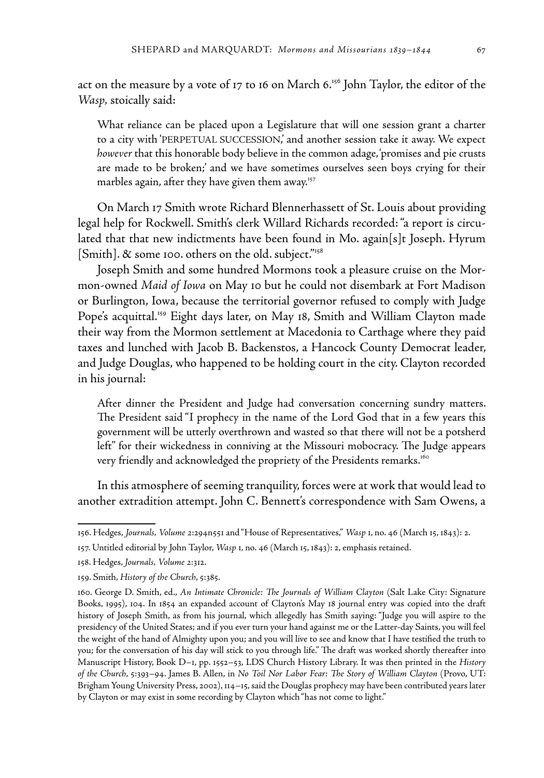act on the measure by a vote of 17 to 16 on March  $6.^{156}$  John Taylor, the editor of the *Wasp,* stoically said:

What reliance can be placed upon a Legislature that will one session grant a charter to a city with 'PERPETUAL SUCCESSION,' and another session take it away. We expect *however* that this honorable body believe in the common adage, 'promises and pie crusts are made to be broken;' and we have sometimes ourselves seen boys crying for their marbles again, after they have given them away.<sup>157</sup>

On March 17 Smith wrote Richard Blennerhassett of St. Louis about providing legal help for Rockwell. Smith's clerk Willard Richards recorded: "a report is circulated that that new indictments have been found in Mo. again[s]t Joseph. Hyrum [Smith]. & some 100. others on the old. subject."<sup>158</sup>

Joseph Smith and some hundred Mormons took a pleasure cruise on the Mormon-owned *Maid of Iowa* on May 10 but he could not disembark at Fort Madison or Burlington, Iowa, because the territorial governor refused to comply with Judge Pope's acquittal.<sup>159</sup> Eight days later, on May 18, Smith and William Clayton made their way from the Mormon settlement at Macedonia to Carthage where they paid taxes and lunched with Jacob B. Backenstos, a Hancock County Democrat leader, and Judge Douglas, who happened to be holding court in the city. Clayton recorded in his journal:

After dinner the President and Judge had conversation concerning sundry matters. The President said "I prophecy in the name of the Lord God that in a few years this government will be utterly overthrown and wasted so that there will not be a potsherd left" for their wickedness in conniving at the Missouri mobocracy. The Judge appears very friendly and acknowledged the propriety of the Presidents remarks.<sup>160</sup>

In this atmosphere of seeming tranquility, forces were at work that would lead to another extradition attempt. John C. Bennett's correspondence with Sam Owens, a

<sup>156.</sup> Hedges, *Journals, Volume 2*:294n551 and "House of Representatives," *Wasp* 1, no. 46 (March 15, 1843): 2.

<sup>157.</sup> Untitled editorial by John Taylor, *Wasp* 1, no. 46 (March 15, 1843): 2, emphasis retained.

<sup>158.</sup> Hedges, *Journals, Volume 2*:312.

<sup>159.</sup> Smith, *History of the Church*, 5:385.

<sup>160.</sup> George D. Smith, ed., *An Intimate Chronicle: The Journals of William Clayton* (Salt Lake City: Signature Books, 1995), 104. In 1854 an expanded account of Clayton's May 18 journal entry was copied into the draft history of Joseph Smith, as from his journal, which allegedly has Smith saying: "Judge you will aspire to the presidency of the United States; and if you ever turn your hand against me or the Latter-day Saints, you will feel the weight of the hand of Almighty upon you; and you will live to see and know that I have testified the truth to you; for the conversation of his day will stick to you through life." The draft was worked shortly thereafter into Manuscript History, Book D–1, pp. 1552–53, LDS Church History Library. It was then printed in the *History of the Church*, 5:393–94. James B. Allen, in *No Toil Nor Labor Fear: The Story of William Clayton* (Provo, UT: Brigham Young University Press, 2002), 114–15, said the Douglas prophecy may have been contributed years later by Clayton or may exist in some recording by Clayton which "has not come to light."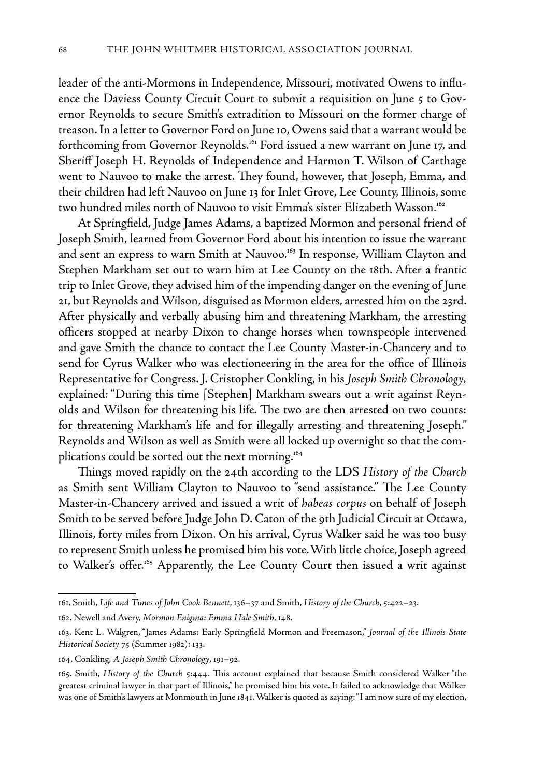leader of the anti-Mormons in Independence, Missouri, motivated Owens to influence the Daviess County Circuit Court to submit a requisition on June 5 to Governor Reynolds to secure Smith's extradition to Missouri on the former charge of treason. In a letter to Governor Ford on June 10, Owens said that a warrant would be forthcoming from Governor Reynolds.<sup>161</sup> Ford issued a new warrant on June 17, and Sheriff Joseph H. Reynolds of Independence and Harmon T. Wilson of Carthage went to Nauvoo to make the arrest. They found, however, that Joseph, Emma, and their children had left Nauvoo on June 13 for Inlet Grove, Lee County, Illinois, some two hundred miles north of Nauvoo to visit Emma's sister Elizabeth Wasson.<sup>162</sup>

At Springfield, Judge James Adams, a baptized Mormon and personal friend of Joseph Smith, learned from Governor Ford about his intention to issue the warrant and sent an express to warn Smith at Nauvoo.<sup>163</sup> In response, William Clayton and Stephen Markham set out to warn him at Lee County on the 18th. After a frantic trip to Inlet Grove, they advised him of the impending danger on the evening of June 21, but Reynolds and Wilson, disguised as Mormon elders, arrested him on the 23rd. After physically and verbally abusing him and threatening Markham, the arresting officers stopped at nearby Dixon to change horses when townspeople intervened and gave Smith the chance to contact the Lee County Master-in-Chancery and to send for Cyrus Walker who was electioneering in the area for the office of Illinois Representative for Congress. J. Cristopher Conkling, in his *Joseph Smith Chronology,*  explained: "During this time [Stephen] Markham swears out a writ against Reynolds and Wilson for threatening his life. The two are then arrested on two counts: for threatening Markham's life and for illegally arresting and threatening Joseph." Reynolds and Wilson as well as Smith were all locked up overnight so that the complications could be sorted out the next morning.<sup>164</sup>

Things moved rapidly on the 24th according to the LDS *History of the Church* as Smith sent William Clayton to Nauvoo to "send assistance." The Lee County Master-in-Chancery arrived and issued a writ of *habeas corpus* on behalf of Joseph Smith to be served before Judge John D. Caton of the 9th Judicial Circuit at Ottawa, Illinois, forty miles from Dixon. On his arrival, Cyrus Walker said he was too busy to represent Smith unless he promised him his vote.With little choice, Joseph agreed to Walker's offer.<sup>165</sup> Apparently, the Lee County Court then issued a writ against

<sup>161.</sup> Smith, *Life and Times of John Cook Bennett*, 136–37 and Smith, *History of the Church*, 5:422–23.

<sup>162.</sup> Newell and Avery, *Mormon Enigma: Emma Hale Smith*, 148.

<sup>163.</sup> Kent L. Walgren, "James Adams: Early Springfield Mormon and Freemason," *Journal of the Illinois State Historical Society* 75 (Summer 1982): 133.

<sup>164.</sup> Conkling, *A Joseph Smith Chronology*, 191–92.

<sup>165.</sup> Smith, *History of the Church* 5:444. This account explained that because Smith considered Walker "the greatest criminal lawyer in that part of Illinois," he promised him his vote. It failed to acknowledge that Walker was one of Smith's lawyers at Monmouth in June 1841. Walker is quoted as saying: "I am now sure of my election,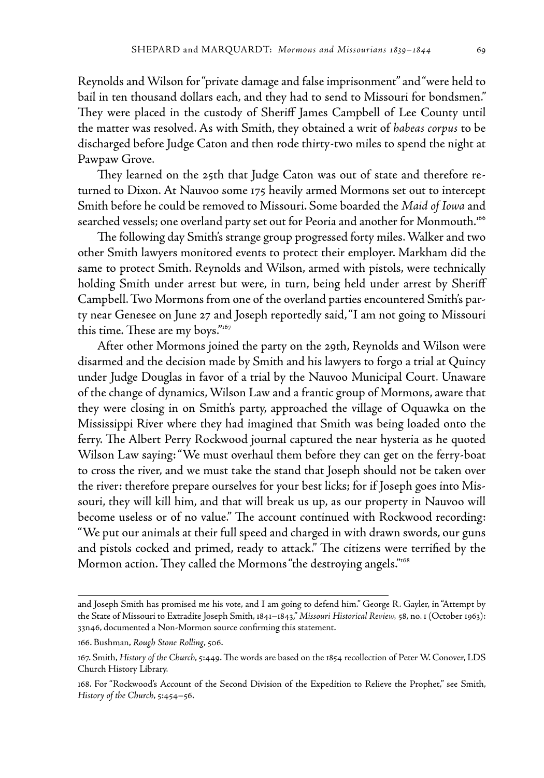Reynolds and Wilson for "private damage and false imprisonment" and "were held to bail in ten thousand dollars each, and they had to send to Missouri for bondsmen." They were placed in the custody of Sheriff James Campbell of Lee County until the matter was resolved. As with Smith, they obtained a writ of *habeas corpus* to be discharged before Judge Caton and then rode thirty-two miles to spend the night at Pawpaw Grove.

They learned on the 25th that Judge Caton was out of state and therefore returned to Dixon. At Nauvoo some 175 heavily armed Mormons set out to intercept Smith before he could be removed to Missouri. Some boarded the *Maid of Iowa* and searched vessels; one overland party set out for Peoria and another for Monmouth.166

The following day Smith's strange group progressed forty miles. Walker and two other Smith lawyers monitored events to protect their employer. Markham did the same to protect Smith. Reynolds and Wilson, armed with pistols, were technically holding Smith under arrest but were, in turn, being held under arrest by Sheriff Campbell. Two Mormons from one of the overland parties encountered Smith's party near Genesee on June 27 and Joseph reportedly said, "I am not going to Missouri this time. These are my boys."167

After other Mormons joined the party on the 29th, Reynolds and Wilson were disarmed and the decision made by Smith and his lawyers to forgo a trial at Quincy under Judge Douglas in favor of a trial by the Nauvoo Municipal Court. Unaware of the change of dynamics, Wilson Law and a frantic group of Mormons, aware that they were closing in on Smith's party, approached the village of Oquawka on the Mississippi River where they had imagined that Smith was being loaded onto the ferry. The Albert Perry Rockwood journal captured the near hysteria as he quoted Wilson Law saying: "We must overhaul them before they can get on the ferry-boat to cross the river, and we must take the stand that Joseph should not be taken over the river: therefore prepare ourselves for your best licks; for if Joseph goes into Missouri, they will kill him, and that will break us up, as our property in Nauvoo will become useless or of no value." The account continued with Rockwood recording: "We put our animals at their full speed and charged in with drawn swords, our guns and pistols cocked and primed, ready to attack." The citizens were terrified by the Mormon action. They called the Mormons "the destroying angels."<sup>168</sup>

and Joseph Smith has promised me his vote, and I am going to defend him." George R. Gayler, in "Attempt by the State of Missouri to Extradite Joseph Smith, 1841–1843," *Missouri Historical Review,* 58, no. 1 (October 1963): 33n46, documented a Non-Mormon source confirming this statement.

<sup>166.</sup> Bushman, *Rough Stone Rolling*, 506.

<sup>167.</sup> Smith, *History of the Church*, 5:449. The words are based on the 1854 recollection of Peter W. Conover, LDS Church History Library.

<sup>168.</sup> For "Rockwood's Account of the Second Division of the Expedition to Relieve the Prophet," see Smith, *History of the Church*, 5:454–56.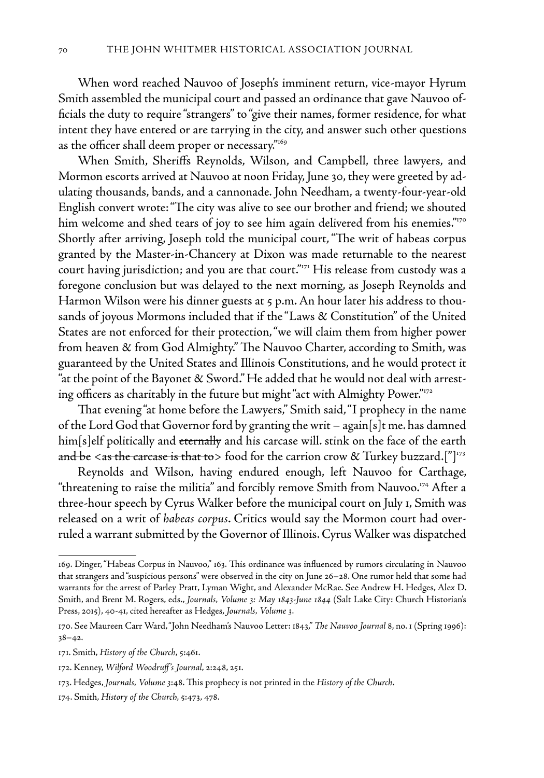When word reached Nauvoo of Joseph's imminent return, vice-mayor Hyrum Smith assembled the municipal court and passed an ordinance that gave Nauvoo officials the duty to require "strangers" to "give their names, former residence, for what intent they have entered or are tarrying in the city, and answer such other questions as the officer shall deem proper or necessary."169

When Smith, Sheriffs Reynolds, Wilson, and Campbell, three lawyers, and Mormon escorts arrived at Nauvoo at noon Friday, June 30, they were greeted by adulating thousands, bands, and a cannonade. John Needham, a twenty-four-year-old English convert wrote: "The city was alive to see our brother and friend; we shouted him welcome and shed tears of joy to see him again delivered from his enemies."<sup>170</sup> Shortly after arriving, Joseph told the municipal court, "The writ of habeas corpus granted by the Master-in-Chancery at Dixon was made returnable to the nearest court having jurisdiction; and you are that court."<sup>171</sup> His release from custody was a foregone conclusion but was delayed to the next morning, as Joseph Reynolds and Harmon Wilson were his dinner guests at 5 p.m. An hour later his address to thousands of joyous Mormons included that if the "Laws & Constitution" of the United States are not enforced for their protection, "we will claim them from higher power from heaven & from God Almighty." The Nauvoo Charter, according to Smith, was guaranteed by the United States and Illinois Constitutions, and he would protect it "at the point of the Bayonet & Sword." He added that he would not deal with arresting officers as charitably in the future but might "act with Almighty Power."172

That evening "at home before the Lawyers," Smith said, "I prophecy in the name of the Lord God that Governor ford by granting the writ – again[s]t me. has damned him[s]elf politically and <del>eternally</del> and his carcase will. stink on the face of the earth and be <as the carcase is that to > food for the carrion crow & Turkey buzzard.["]<sup>173</sup>

Reynolds and Wilson, having endured enough, left Nauvoo for Carthage, "threatening to raise the militia" and forcibly remove Smith from Nauvoo. $^{174}$  After a three-hour speech by Cyrus Walker before the municipal court on July 1, Smith was released on a writ of *habeas corpus*. Critics would say the Mormon court had overruled a warrant submitted by the Governor of Illinois. Cyrus Walker was dispatched

<sup>169.</sup> Dinger, "Habeas Corpus in Nauvoo," 163. This ordinance was influenced by rumors circulating in Nauvoo that strangers and "suspicious persons" were observed in the city on June 26–28. One rumor held that some had warrants for the arrest of Parley Pratt, Lyman Wight, and Alexander McRae. See Andrew H. Hedges, Alex D. Smith, and Brent M. Rogers, eds., *Journals, Volume 3: May 1843-June 1844* (Salt Lake City: Church Historian's Press, 2015), 40-41, cited hereafter as Hedges, *Journals, Volume 3*.

<sup>170.</sup> See Maureen Carr Ward, "John Needham's Nauvoo Letter: 1843," *The Nauvoo Journal* 8, no. 1 (Spring 1996): 38–42.

<sup>171.</sup> Smith, *History of the Church*, 5:461.

<sup>172.</sup> Kenney, *Wilford Woodruff's Journal*, 2:248, 251.

<sup>173.</sup> Hedges, *Journals, Volume 3*:48. This prophecy is not printed in the *History of the Church*.

<sup>174.</sup> Smith, *History of the Church*, 5:473, 478.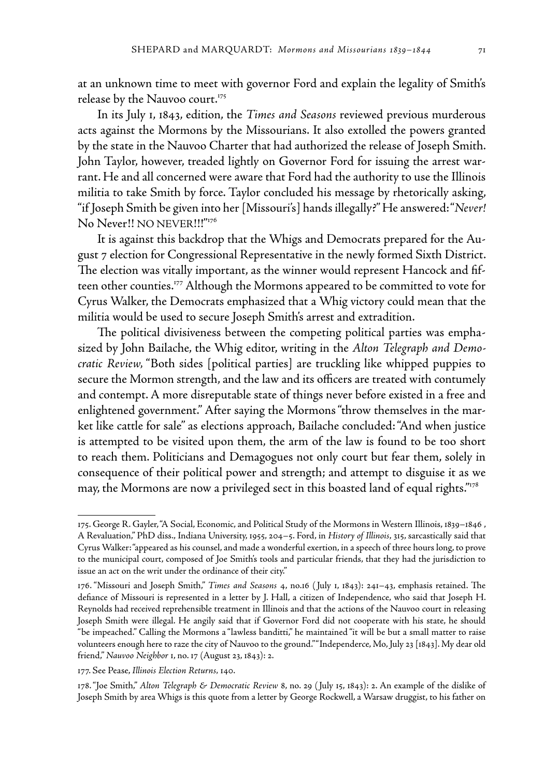at an unknown time to meet with governor Ford and explain the legality of Smith's release by the Nauvoo court.<sup>175</sup>

In its July 1, 1843, edition, the *Times and Seasons* reviewed previous murderous acts against the Mormons by the Missourians. It also extolled the powers granted by the state in the Nauvoo Charter that had authorized the release of Joseph Smith. John Taylor, however, treaded lightly on Governor Ford for issuing the arrest warrant. He and all concerned were aware that Ford had the authority to use the Illinois militia to take Smith by force. Taylor concluded his message by rhetorically asking, "if Joseph Smith be given into her [Missouri's] hands illegally?" He answered: "*Never!* No Never!! NO NEVER!!!"176

It is against this backdrop that the Whigs and Democrats prepared for the August 7 election for Congressional Representative in the newly formed Sixth District. The election was vitally important, as the winner would represent Hancock and fifteen other counties.<sup>177</sup> Although the Mormons appeared to be committed to vote for Cyrus Walker, the Democrats emphasized that a Whig victory could mean that the militia would be used to secure Joseph Smith's arrest and extradition.

The political divisiveness between the competing political parties was emphasized by John Bailache, the Whig editor, writing in the *Alton Telegraph and Democratic Review,* "Both sides [political parties] are truckling like whipped puppies to secure the Mormon strength, and the law and its officers are treated with contumely and contempt. A more disreputable state of things never before existed in a free and enlightened government." After saying the Mormons "throw themselves in the market like cattle for sale" as elections approach, Bailache concluded: "And when justice is attempted to be visited upon them, the arm of the law is found to be too short to reach them. Politicians and Demagogues not only court but fear them, solely in consequence of their political power and strength; and attempt to disguise it as we may, the Mormons are now a privileged sect in this boasted land of equal rights." $178$ 

<sup>175.</sup> George R. Gayler, "A Social, Economic, and Political Study of the Mormons in Western Illinois, 1839–1846 , A Revaluation," PhD diss., Indiana University, 1955, 204–5. Ford, in *History of Illinois*, 315, sarcastically said that Cyrus Walker: "appeared as his counsel, and made a wonderful exertion, in a speech of three hours long, to prove to the municipal court, composed of Joe Smith's tools and particular friends, that they had the jurisdiction to issue an act on the writ under the ordinance of their city."

<sup>176. &</sup>quot;Missouri and Joseph Smith," *Times and Seasons* 4, no.16 ( July 1, 1843): 241–43, emphasis retained. The defiance of Missouri is represented in a letter by J. Hall, a citizen of Independence, who said that Joseph H. Reynolds had received reprehensible treatment in Illinois and that the actions of the Nauvoo court in releasing Joseph Smith were illegal. He angily said that if Governor Ford did not cooperate with his state, he should "be impeached." Calling the Mormons a "lawless banditti," he maintained "it will be but a small matter to raise volunteers enough here to raze the city of Nauvoo to the ground." "Independerce, Mo, July 23 [1843]. My dear old friend," *Nauvoo Neighbor* 1, no. 17 (August 23, 1843): 2.

<sup>177.</sup> See Pease, *Illinois Election Returns,* 140.

<sup>178. &</sup>quot;Joe Smith," *Alton Telegraph & Democratic Review* 8, no. 29 ( July 15, 1843): 2. An example of the dislike of Joseph Smith by area Whigs is this quote from a letter by George Rockwell, a Warsaw druggist, to his father on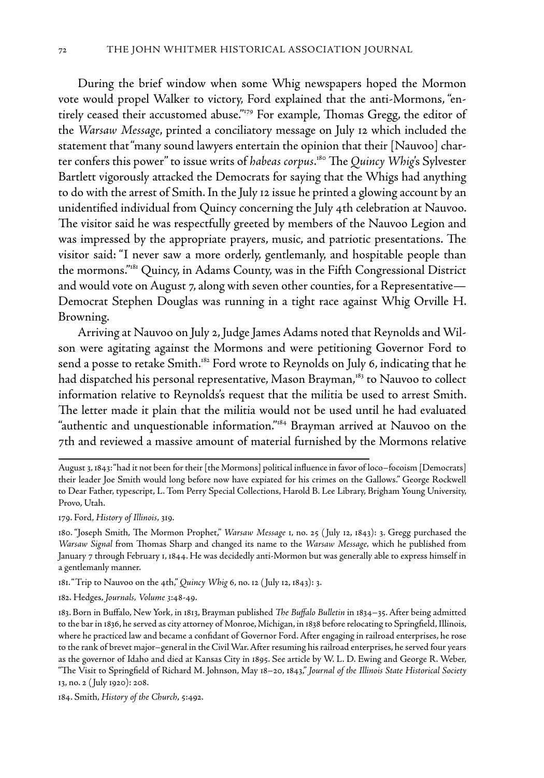During the brief window when some Whig newspapers hoped the Mormon vote would propel Walker to victory, Ford explained that the anti-Mormons, "entirely ceased their accustomed abuse."179 For example, Thomas Gregg, the editor of the *Warsaw Message*, printed a conciliatory message on July 12 which included the statement that "many sound lawyers entertain the opinion that their [Nauvoo] charter confers this power" to issue writs of *habeas corpus*. 180 The *Quincy Whig*'s Sylvester Bartlett vigorously attacked the Democrats for saying that the Whigs had anything to do with the arrest of Smith. In the July 12 issue he printed a glowing account by an unidentified individual from Quincy concerning the July 4th celebration at Nauvoo. The visitor said he was respectfully greeted by members of the Nauvoo Legion and was impressed by the appropriate prayers, music, and patriotic presentations. The visitor said: "I never saw a more orderly, gentlemanly, and hospitable people than the mormons."181 Quincy, in Adams County, was in the Fifth Congressional District and would vote on August 7, along with seven other counties, for a Representative— Democrat Stephen Douglas was running in a tight race against Whig Orville H. Browning.

Arriving at Nauvoo on July 2, Judge James Adams noted that Reynolds and Wilson were agitating against the Mormons and were petitioning Governor Ford to send a posse to retake Smith.<sup>182</sup> Ford wrote to Reynolds on July 6, indicating that he had dispatched his personal representative, Mason Brayman,<sup>183</sup> to Nauvoo to collect information relative to Reynolds's request that the militia be used to arrest Smith. The letter made it plain that the militia would not be used until he had evaluated "authentic and unquestionable information."184 Brayman arrived at Nauvoo on the 7th and reviewed a massive amount of material furnished by the Mormons relative

179. Ford, *History of Illinois*, 319.

181. "Trip to Nauvoo on the 4th," *Quincy Whig* 6, no. 12 ( July 12, 1843): 3.

182. Hedges, *Journals, Volume 3*:48-49.

August 3, 1843: "had it not been for their [the Mormons] political influence in favor of loco–focoism [Democrats] their leader Joe Smith would long before now have expiated for his crimes on the Gallows." George Rockwell to Dear Father, typescript, L. Tom Perry Special Collections, Harold B. Lee Library, Brigham Young University, Provo, Utah.

<sup>180. &</sup>quot;Joseph Smith, The Mormon Prophet," *Warsaw Message* 1, no. 25 ( July 12, 1843): 3. Gregg purchased the *Warsaw Signal* from Thomas Sharp and changed its name to the *Warsaw Message,* which he published from January 7 through February 1, 1844. He was decidedly anti-Mormon but was generally able to express himself in a gentlemanly manner.

<sup>183.</sup> Born in Buffalo, New York, in 1813, Brayman published *The Buffalo Bulletin* in 1834–35. After being admitted to the bar in 1836, he served as city attorney of Monroe, Michigan, in 1838 before relocating to Springfield, Illinois, where he practiced law and became a confidant of Governor Ford. After engaging in railroad enterprises, he rose to the rank of brevet major–general in the Civil War. After resuming his railroad enterprises, he served four years as the governor of Idaho and died at Kansas City in 1895. See article by W. L. D. Ewing and George R. Weber, "The Visit to Springfield of Richard M. Johnson, May 18–20, 1843," *Journal of the Illinois State Historical Society*  13, no. 2 ( July 1920): 208.

<sup>184.</sup> Smith, *History of the Church*, 5:492.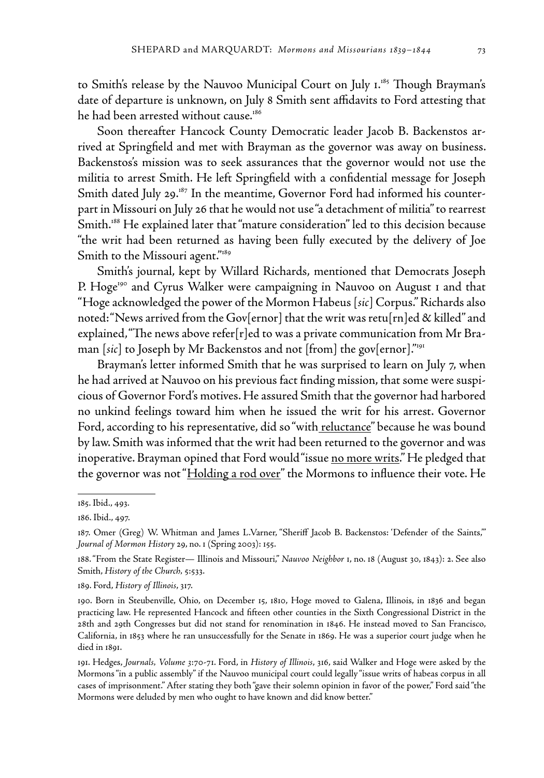to Smith's release by the Nauvoo Municipal Court on July 1.<sup>185</sup> Though Brayman's date of departure is unknown, on July 8 Smith sent affidavits to Ford attesting that he had been arrested without cause.<sup>186</sup>

Soon thereafter Hancock County Democratic leader Jacob B. Backenstos arrived at Springfield and met with Brayman as the governor was away on business. Backenstos's mission was to seek assurances that the governor would not use the militia to arrest Smith. He left Springfield with a confidential message for Joseph Smith dated July 29.<sup>187</sup> In the meantime, Governor Ford had informed his counterpart in Missouri on July 26 that he would not use "a detachment of militia" to rearrest Smith.188 He explained later that "mature consideration" led to this decision because "the writ had been returned as having been fully executed by the delivery of Joe Smith to the Missouri agent."<sup>189</sup>

Smith's journal, kept by Willard Richards, mentioned that Democrats Joseph P. Hoge<sup>190</sup> and Cyrus Walker were campaigning in Nauvoo on August 1 and that "Hoge acknowledged the power of the Mormon Habeus [*sic*] Corpus." Richards also noted: "News arrived from the Gov[ernor] that the writ was retu[rn]ed & killed" and explained, "The news above refer[r]ed to was a private communication from Mr Braman [*sic*] to Joseph by Mr Backenstos and not [from] the gov[ernor]."191

Brayman's letter informed Smith that he was surprised to learn on July 7, when he had arrived at Nauvoo on his previous fact finding mission, that some were suspicious of Governor Ford's motives. He assured Smith that the governor had harbored no unkind feelings toward him when he issued the writ for his arrest. Governor Ford, according to his representative, did so "with reluctance" because he was bound by law. Smith was informed that the writ had been returned to the governor and was inoperative. Brayman opined that Ford would "issue <u>no more writs</u>." He pledged that the governor was not "Holding a rod over" the Mormons to influence their vote. He

189. Ford, *History of Illinois*, 317.

<sup>185.</sup> Ibid., 493.

<sup>186.</sup> Ibid., 497.

<sup>187.</sup> Omer (Greg) W. Whitman and James L.Varner, "Sheriff Jacob B. Backenstos: 'Defender of the Saints,'" *Journal of Mormon History* 29, no. 1 (Spring 2003): 155.

<sup>188. &</sup>quot;From the State Register— Illinois and Missouri," *Nauvoo Neighbor* 1, no. 18 (August 30, 1843): 2. See also Smith, *History of the Church,* 5:533.

<sup>190.</sup> Born in Steubenville, Ohio, on December 15, 1810, Hoge moved to Galena, Illinois, in 1836 and began practicing law. He represented Hancock and fifteen other counties in the Sixth Congressional District in the 28th and 29th Congresses but did not stand for renomination in 1846. He instead moved to San Francisco, California, in 1853 where he ran unsuccessfully for the Senate in 1869. He was a superior court judge when he died in 1891.

<sup>191.</sup> Hedges, *Journals, Volume 3*:70-71. Ford, in *History of Illinois*, 316, said Walker and Hoge were asked by the Mormons "in a public assembly" if the Nauvoo municipal court could legally "issue writs of habeas corpus in all cases of imprisonment." After stating they both "gave their solemn opinion in favor of the power," Ford said "the Mormons were deluded by men who ought to have known and did know better."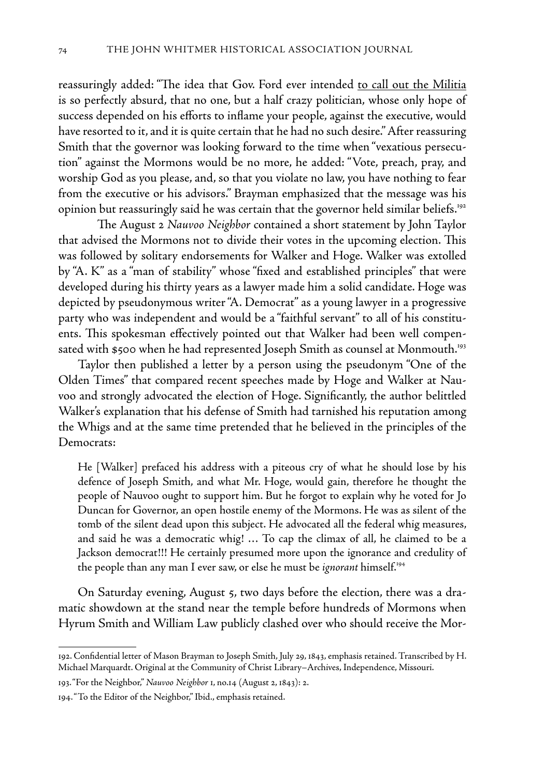reassuringly added: "The idea that Gov. Ford ever intended to call out the Militia is so perfectly absurd, that no one, but a half crazy politician, whose only hope of success depended on his efforts to inflame your people, against the executive, would have resorted to it, and it is quite certain that he had no such desire." After reassuring Smith that the governor was looking forward to the time when "vexatious persecution" against the Mormons would be no more, he added: "Vote, preach, pray, and worship God as you please, and, so that you violate no law, you have nothing to fear from the executive or his advisors." Brayman emphasized that the message was his opinion but reassuringly said he was certain that the governor held similar beliefs.<sup>192</sup>

The August 2 *Nauvoo Neighbor* contained a short statement by John Taylor that advised the Mormons not to divide their votes in the upcoming election. This was followed by solitary endorsements for Walker and Hoge. Walker was extolled by "A. K" as a "man of stability" whose "fixed and established principles" that were developed during his thirty years as a lawyer made him a solid candidate. Hoge was depicted by pseudonymous writer "A. Democrat" as a young lawyer in a progressive party who was independent and would be a "faithful servant" to all of his constituents. This spokesman effectively pointed out that Walker had been well compensated with \$500 when he had represented Joseph Smith as counsel at Monmouth.<sup>193</sup>

Taylor then published a letter by a person using the pseudonym "One of the Olden Times" that compared recent speeches made by Hoge and Walker at Nauvoo and strongly advocated the election of Hoge. Significantly, the author belittled Walker's explanation that his defense of Smith had tarnished his reputation among the Whigs and at the same time pretended that he believed in the principles of the Democrats:

He [Walker] prefaced his address with a piteous cry of what he should lose by his defence of Joseph Smith, and what Mr. Hoge, would gain, therefore he thought the people of Nauvoo ought to support him. But he forgot to explain why he voted for Jo Duncan for Governor, an open hostile enemy of the Mormons. He was as silent of the tomb of the silent dead upon this subject. He advocated all the federal whig measures, and said he was a democratic whig! … To cap the climax of all, he claimed to be a Jackson democrat!!! He certainly presumed more upon the ignorance and credulity of the people than any man I ever saw, or else he must be *ignorant* himself.194

On Saturday evening, August 5, two days before the election, there was a dramatic showdown at the stand near the temple before hundreds of Mormons when Hyrum Smith and William Law publicly clashed over who should receive the Mor-

<sup>192.</sup> Confidential letter of Mason Brayman to Joseph Smith, July 29, 1843, emphasis retained. Transcribed by H. Michael Marquardt. Original at the Community of Christ Library–Archives, Independence, Missouri.

<sup>193. &</sup>quot;For the Neighbor," *Nauvoo Neighbor* 1, no.14 (August 2, 1843): 2.

<sup>194. &</sup>quot;To the Editor of the Neighbor," Ibid., emphasis retained.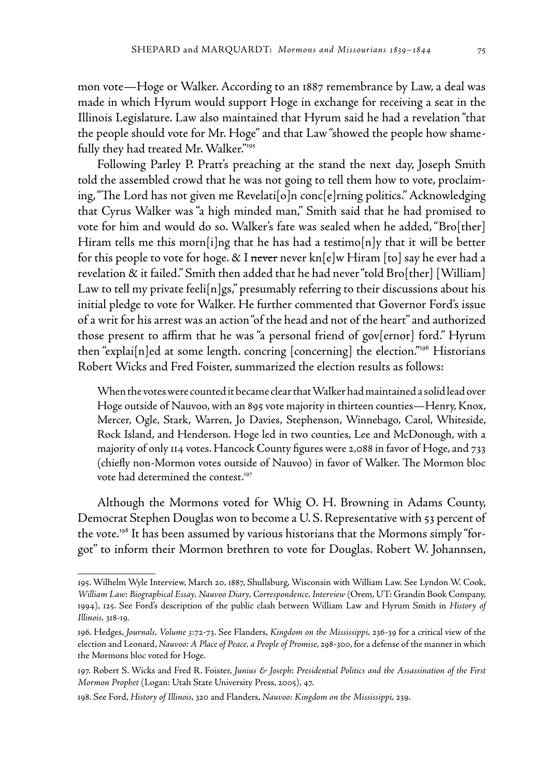mon vote—Hoge or Walker. According to an 1887 remembrance by Law, a deal was made in which Hyrum would support Hoge in exchange for receiving a seat in the Illinois Legislature. Law also maintained that Hyrum said he had a revelation "that the people should vote for Mr. Hoge" and that Law "showed the people how shamefully they had treated Mr. Walker."195

Following Parley P. Pratt's preaching at the stand the next day, Joseph Smith told the assembled crowd that he was not going to tell them how to vote, proclaiming, "The Lord has not given me Revelati[o]n conc[e]rning politics." Acknowledging that Cyrus Walker was "a high minded man," Smith said that he had promised to vote for him and would do so. Walker's fate was sealed when he added, "Bro[ther] Hiram tells me this morn[i]ng that he has had a testimo[n]y that it will be better for this people to vote for hoge.  $\&$  I <del>never</del> never kn[e]w Hiram [to] say he ever had a revelation & it failed." Smith then added that he had never "told Bro[ther] [William] Law to tell my private feeli $[n]$ gs," presumably referring to their discussions about his initial pledge to vote for Walker. He further commented that Governor Ford's issue of a writ for his arrest was an action "of the head and not of the heart" and authorized those present to affirm that he was "a personal friend of gov[ernor] ford." Hyrum then "explai $[n]$ ed at some length. concring  $[concerning]$  the election."<sup>196</sup> Historians Robert Wicks and Fred Foister, summarized the election results as follows:

When the votes were counted it became clear that Walker had maintained a solid lead over Hoge outside of Nauvoo, with an 895 vote majority in thirteen counties—Henry, Knox, Mercer, Ogle, Stark, Warren, Jo Davies, Stephenson, Winnebago, Carol, Whiteside, Rock Island, and Henderson. Hoge led in two counties, Lee and McDonough, with a majority of only 114 votes. Hancock County figures were 2,088 in favor of Hoge, and 733 (chiefly non-Mormon votes outside of Nauvoo) in favor of Walker. The Mormon bloc vote had determined the contest.<sup>197</sup>

Although the Mormons voted for Whig O. H. Browning in Adams County, Democrat Stephen Douglas won to become a U. S. Representative with 53 percent of the vote.198 It has been assumed by various historians that the Mormons simply "forgot" to inform their Mormon brethren to vote for Douglas. Robert W. Johannsen,

<sup>195.</sup> Wilhelm Wyle Interview, March 20, 1887, Shullsburg, Wisconsin with William Law. See Lyndon W. Cook, *William Law: Biographical Essay, Nauvoo Diary, Correspondence, Interview* (Orem, UT: Grandin Book Company, 1994), 125. See Ford's description of the public clash between William Law and Hyrum Smith in *History of Illinois,* 318-19*.*

<sup>196.</sup> Hedges, *Journals, Volume 3*:72-73. See Flanders, *Kingdom on the Mississippi,* 236-39 for a critical view of the election and Leonard, *Nauvoo: A Place of Peace, a People of Promise*, 298-300, for a defense of the manner in which the Mormons bloc voted for Hoge.

<sup>197.</sup> Robert S. Wicks and Fred R. Foister, *Junius & Joseph: Presidential Politics and the Assassination of the First Mormon Prophet* (Logan: Utah State University Press, 2005), 47.

<sup>198.</sup> See Ford, *History of Illinois*, 320 and Flanders, *Nauvoo: Kingdom on the Mississippi,* 239.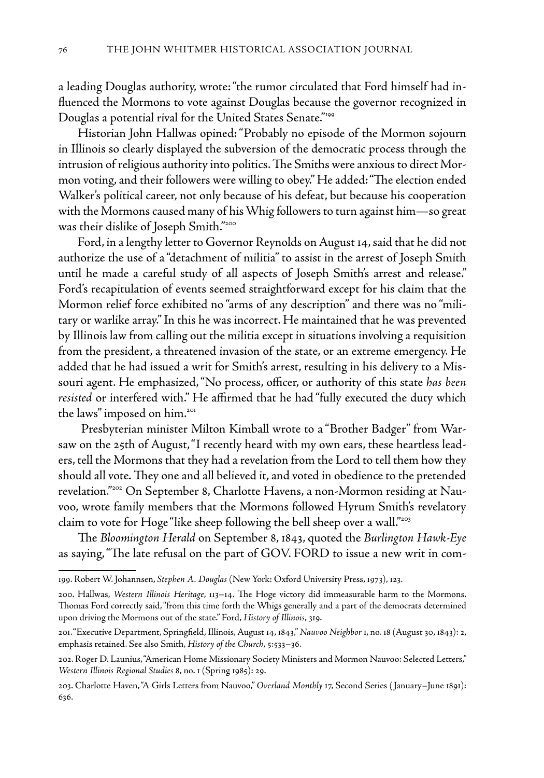a leading Douglas authority, wrote: "the rumor circulated that Ford himself had influenced the Mormons to vote against Douglas because the governor recognized in Douglas a potential rival for the United States Senate."<sup>199</sup>

Historian John Hallwas opined: "Probably no episode of the Mormon sojourn in Illinois so clearly displayed the subversion of the democratic process through the intrusion of religious authority into politics. The Smiths were anxious to direct Mormon voting, and their followers were willing to obey." He added: "The election ended Walker's political career, not only because of his defeat, but because his cooperation with the Mormons caused many of his Whig followers to turn against him—so great was their dislike of Joseph Smith."200

Ford, in a lengthy letter to Governor Reynolds on August 14, said that he did not authorize the use of a "detachment of militia" to assist in the arrest of Joseph Smith until he made a careful study of all aspects of Joseph Smith's arrest and release." Ford's recapitulation of events seemed straightforward except for his claim that the Mormon relief force exhibited no "arms of any description" and there was no "military or warlike array." In this he was incorrect. He maintained that he was prevented by Illinois law from calling out the militia except in situations involving a requisition from the president, a threatened invasion of the state, or an extreme emergency. He added that he had issued a writ for Smith's arrest, resulting in his delivery to a Missouri agent. He emphasized, "No process, officer, or authority of this state *has been resisted* or interfered with." He affirmed that he had "fully executed the duty which the laws" imposed on him.<sup>201</sup>

 Presbyterian minister Milton Kimball wrote to a "Brother Badger" from Warsaw on the 25th of August, "I recently heard with my own ears, these heartless leaders, tell the Mormons that they had a revelation from the Lord to tell them how they should all vote. They one and all believed it, and voted in obedience to the pretended revelation."202 On September 8, Charlotte Havens, a non-Mormon residing at Nauvoo, wrote family members that the Mormons followed Hyrum Smith's revelatory claim to vote for Hoge "like sheep following the bell sheep over a wall."203

The *Bloomington Herald* on September 8, 1843, quoted the *Burlington Hawk-Eye*  as saying, "The late refusal on the part of GOV. FORD to issue a new writ in com-

<sup>199.</sup> Robert W. Johannsen, *Stephen A. Douglas* (New York: Oxford University Press, 1973), 123.

<sup>200.</sup> Hallwas, *Western Illinois Heritage*, 113–14. The Hoge victory did immeasurable harm to the Mormons. Thomas Ford correctly said, "from this time forth the Whigs generally and a part of the democrats determined upon driving the Mormons out of the state." Ford, *History of Illinois*, 319.

<sup>201. &</sup>quot;Executive Department, Springfield, Illinois, August 14, 1843," *Nauvoo Neighbor* 1, no. 18 (August 30, 1843): 2, emphasis retained. See also Smith, *History of the Church*, 5:533–36.

<sup>202.</sup> Roger D. Launius, "American Home Missionary Society Ministers and Mormon Nauvoo: Selected Letters," *Western Illinois Regional Studies* 8, no. 1 (Spring 1985): 29.

<sup>203.</sup> Charlotte Haven, "A Girls Letters from Nauvoo," *Overland Monthly* 17, Second Series ( January–June 1891): 636.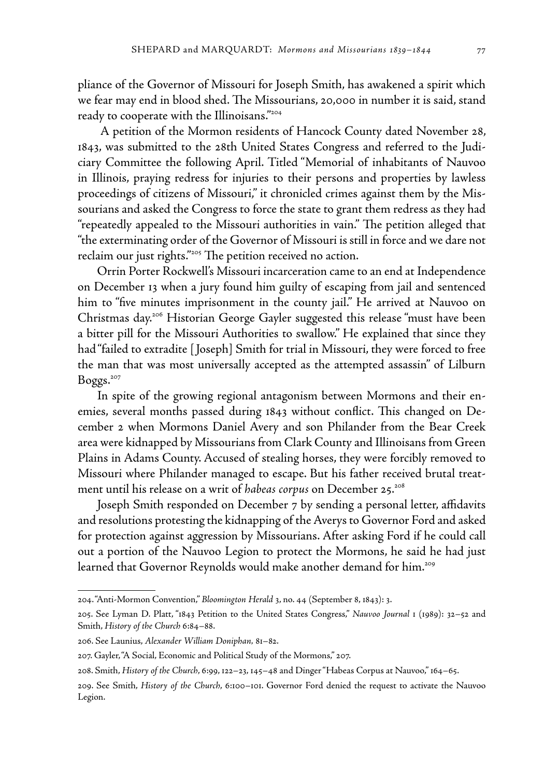pliance of the Governor of Missouri for Joseph Smith, has awakened a spirit which we fear may end in blood shed. The Missourians, 20,000 in number it is said, stand ready to cooperate with the Illinoisans."204

 A petition of the Mormon residents of Hancock County dated November 28, 1843, was submitted to the 28th United States Congress and referred to the Judiciary Committee the following April. Titled "Memorial of inhabitants of Nauvoo in Illinois, praying redress for injuries to their persons and properties by lawless proceedings of citizens of Missouri," it chronicled crimes against them by the Missourians and asked the Congress to force the state to grant them redress as they had "repeatedly appealed to the Missouri authorities in vain." The petition alleged that "the exterminating order of the Governor of Missouri is still in force and we dare not reclaim our just rights."<sup>205</sup> The petition received no action.

Orrin Porter Rockwell's Missouri incarceration came to an end at Independence on December 13 when a jury found him guilty of escaping from jail and sentenced him to "five minutes imprisonment in the county jail." He arrived at Nauvoo on Christmas day.206 Historian George Gayler suggested this release "must have been a bitter pill for the Missouri Authorities to swallow." He explained that since they had "failed to extradite [ Joseph] Smith for trial in Missouri, they were forced to free the man that was most universally accepted as the attempted assassin" of Lilburn Boggs.207

In spite of the growing regional antagonism between Mormons and their enemies, several months passed during 1843 without conflict. This changed on December 2 when Mormons Daniel Avery and son Philander from the Bear Creek area were kidnapped by Missourians from Clark County and Illinoisans from Green Plains in Adams County. Accused of stealing horses, they were forcibly removed to Missouri where Philander managed to escape. But his father received brutal treatment until his release on a writ of *habeas corpus* on December 25.208

Joseph Smith responded on December 7 by sending a personal letter, affidavits and resolutions protesting the kidnapping of the Averys to Governor Ford and asked for protection against aggression by Missourians. After asking Ford if he could call out a portion of the Nauvoo Legion to protect the Mormons, he said he had just learned that Governor Reynolds would make another demand for him.<sup>209</sup>

<sup>204. &</sup>quot;Anti-Mormon Convention," *Bloomington Herald* 3, no. 44 (September 8, 1843): 3.

<sup>205.</sup> See Lyman D. Platt, "1843 Petition to the United States Congress," *Nauvoo Journal* 1 (1989): 32–52 and Smith, *History of the Church* 6:84–88.

<sup>206.</sup> See Launius, *Alexander William Doniphan,* 81–82.

<sup>207.</sup> Gayler, "A Social, Economic and Political Study of the Mormons," 207.

<sup>208.</sup> Smith, *History of the Church*, 6:99, 122–23, 145–48 and Dinger "Habeas Corpus at Nauvoo," 164–65.

<sup>209.</sup> See Smith, *History of the Church*, 6:100–101. Governor Ford denied the request to activate the Nauvoo Legion.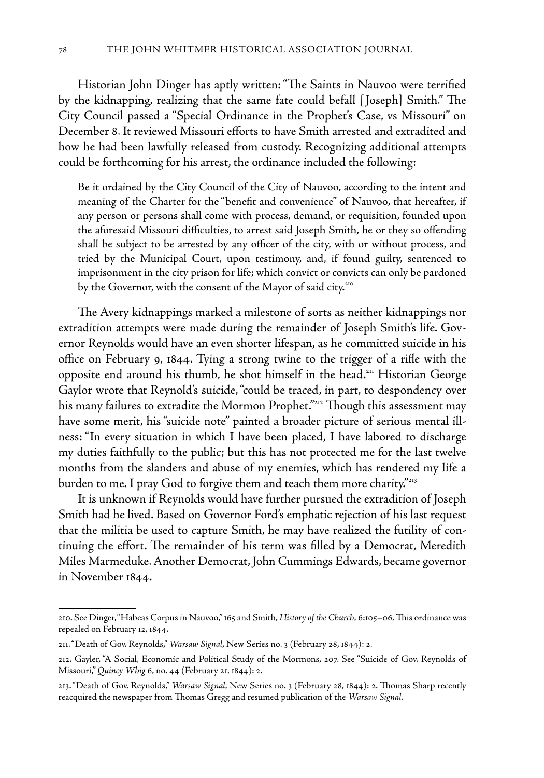Historian John Dinger has aptly written: "The Saints in Nauvoo were terrified by the kidnapping, realizing that the same fate could befall [ Joseph] Smith." The City Council passed a "Special Ordinance in the Prophet's Case, vs Missouri" on December 8. It reviewed Missouri efforts to have Smith arrested and extradited and how he had been lawfully released from custody. Recognizing additional attempts could be forthcoming for his arrest, the ordinance included the following:

Be it ordained by the City Council of the City of Nauvoo, according to the intent and meaning of the Charter for the "benefit and convenience" of Nauvoo, that hereafter, if any person or persons shall come with process, demand, or requisition, founded upon the aforesaid Missouri difficulties, to arrest said Joseph Smith, he or they so offending shall be subject to be arrested by any officer of the city, with or without process, and tried by the Municipal Court, upon testimony, and, if found guilty, sentenced to imprisonment in the city prison for life; which convict or convicts can only be pardoned by the Governor, with the consent of the Mayor of said city.<sup>210</sup>

The Avery kidnappings marked a milestone of sorts as neither kidnappings nor extradition attempts were made during the remainder of Joseph Smith's life. Governor Reynolds would have an even shorter lifespan, as he committed suicide in his office on February 9, 1844. Tying a strong twine to the trigger of a rifle with the opposite end around his thumb, he shot himself in the head.<sup>211</sup> Historian George Gaylor wrote that Reynold's suicide, "could be traced, in part, to despondency over his many failures to extradite the Mormon Prophet."<sup>212</sup> Though this assessment may have some merit, his "suicide note" painted a broader picture of serious mental illness: "In every situation in which I have been placed, I have labored to discharge my duties faithfully to the public; but this has not protected me for the last twelve months from the slanders and abuse of my enemies, which has rendered my life a burden to me. I pray God to forgive them and teach them more charity."<sup>213</sup>

It is unknown if Reynolds would have further pursued the extradition of Joseph Smith had he lived. Based on Governor Ford's emphatic rejection of his last request that the militia be used to capture Smith, he may have realized the futility of continuing the effort. The remainder of his term was filled by a Democrat, Meredith Miles Marmeduke. Another Democrat, John Cummings Edwards, became governor in November 1844.

<sup>210.</sup> See Dinger, "Habeas Corpus in Nauvoo," 165 and Smith, *History of the Church*, 6:105–06. This ordinance was repealed on February 12, 1844.

<sup>211. &</sup>quot;Death of Gov. Reynolds," *Warsaw Signal*, New Series no. 3 (February 28, 1844): 2.

<sup>212.</sup> Gayler, "A Social, Economic and Political Study of the Mormons, 207. See "Suicide of Gov. Reynolds of Missouri," *Quincy Whig* 6, no. 44 (February 21, 1844): 2.

<sup>213. &</sup>quot;Death of Gov. Reynolds," *Warsaw Signal*, New Series no. 3 (February 28, 1844): 2. Thomas Sharp recently reacquired the newspaper from Thomas Gregg and resumed publication of the *Warsaw Signal.*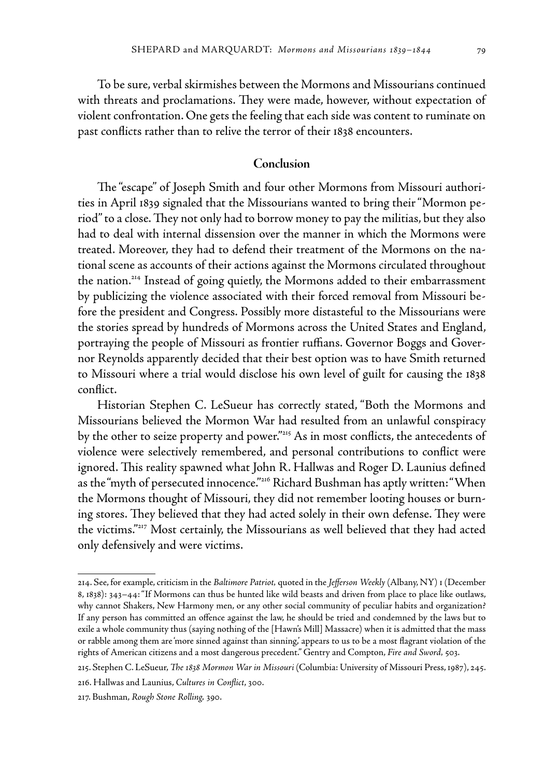To be sure, verbal skirmishes between the Mormons and Missourians continued with threats and proclamations. They were made, however, without expectation of violent confrontation. One gets the feeling that each side was content to ruminate on past conflicts rather than to relive the terror of their 1838 encounters.

## **Conclusion**

The "escape" of Joseph Smith and four other Mormons from Missouri authorities in April 1839 signaled that the Missourians wanted to bring their "Mormon period" to a close. They not only had to borrow money to pay the militias, but they also had to deal with internal dissension over the manner in which the Mormons were treated. Moreover, they had to defend their treatment of the Mormons on the national scene as accounts of their actions against the Mormons circulated throughout the nation.214 Instead of going quietly, the Mormons added to their embarrassment by publicizing the violence associated with their forced removal from Missouri before the president and Congress. Possibly more distasteful to the Missourians were the stories spread by hundreds of Mormons across the United States and England, portraying the people of Missouri as frontier ruffians. Governor Boggs and Governor Reynolds apparently decided that their best option was to have Smith returned to Missouri where a trial would disclose his own level of guilt for causing the 1838 conflict.

Historian Stephen C. LeSueur has correctly stated, "Both the Mormons and Missourians believed the Mormon War had resulted from an unlawful conspiracy by the other to seize property and power."<sup>215</sup> As in most conflicts, the antecedents of violence were selectively remembered, and personal contributions to conflict were ignored. This reality spawned what John R. Hallwas and Roger D. Launius defined as the "myth of persecuted innocence."<sup>216</sup> Richard Bushman has aptly written: "When the Mormons thought of Missouri, they did not remember looting houses or burning stores. They believed that they had acted solely in their own defense. They were the victims."217 Most certainly, the Missourians as well believed that they had acted only defensively and were victims.

<sup>214.</sup> See, for example, criticism in the *Baltimore Patriot,* quoted in the *Jefferson Weekly* (Albany, NY) 1 (December 8, 1838): 343–44: "If Mormons can thus be hunted like wild beasts and driven from place to place like outlaws, why cannot Shakers, New Harmony men, or any other social community of peculiar habits and organization? If any person has committed an offence against the law, he should be tried and condemned by the laws but to exile a whole community thus (saying nothing of the [Hawn's Mill] Massacre) when it is admitted that the mass or rabble among them are 'more sinned against than sinning,' appears to us to be a most flagrant violation of the rights of American citizens and a most dangerous precedent." Gentry and Compton, *Fire and Sword,* 503.

<sup>215.</sup> Stephen C. LeSueur, *The 1838 Mormon War in Missouri* (Columbia: University of Missouri Press, 1987), 245.

<sup>216.</sup> Hallwas and Launius, *Cultures in Conflict*, 300.

<sup>217.</sup> Bushman, *Rough Stone Rolling,* 390.